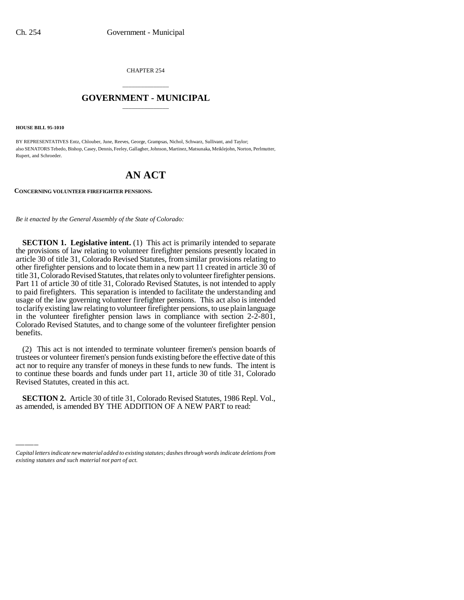CHAPTER 254

## \_\_\_\_\_\_\_\_\_\_\_\_\_\_\_ **GOVERNMENT - MUNICIPAL** \_\_\_\_\_\_\_\_\_\_\_\_\_\_\_

**HOUSE BILL 95-1010**

BY REPRESENTATIVES Entz, Chlouber, June, Reeves, George, Grampsas, Nichol, Schwarz, Sullivant, and Taylor; also SENATORS Tebedo, Bishop, Casey, Dennis, Feeley, Gallagher, Johnson, Martinez, Matsunaka, Meiklejohn, Norton, Perlmutter, Rupert, and Schroeder.

# **AN ACT**

**CONCERNING VOLUNTEER FIREFIGHTER PENSIONS.**

*Be it enacted by the General Assembly of the State of Colorado:*

**SECTION 1. Legislative intent.** (1) This act is primarily intended to separate the provisions of law relating to volunteer firefighter pensions presently located in article 30 of title 31, Colorado Revised Statutes, from similar provisions relating to other firefighter pensions and to locate them in a new part 11 created in article 30 of title 31, Colorado Revised Statutes, that relates only to volunteer firefighter pensions. Part 11 of article 30 of title 31, Colorado Revised Statutes, is not intended to apply to paid firefighters. This separation is intended to facilitate the understanding and usage of the law governing volunteer firefighter pensions. This act also is intended to clarify existing law relating to volunteer firefighter pensions, to use plain language in the volunteer firefighter pension laws in compliance with section 2-2-801, Colorado Revised Statutes, and to change some of the volunteer firefighter pension benefits.

 $\frac{1}{2}$ (2) This act is not intended to terminate volunteer firemen's pension boards of trustees or volunteer firemen's pension funds existing before the effective date of this act nor to require any transfer of moneys in these funds to new funds. The intent is to continue these boards and funds under part 11, article 30 of title 31, Colorado Revised Statutes, created in this act.

**SECTION 2.** Article 30 of title 31, Colorado Revised Statutes, 1986 Repl. Vol., as amended, is amended BY THE ADDITION OF A NEW PART to read:

*Capital letters indicate new material added to existing statutes; dashes through words indicate deletions from existing statutes and such material not part of act.*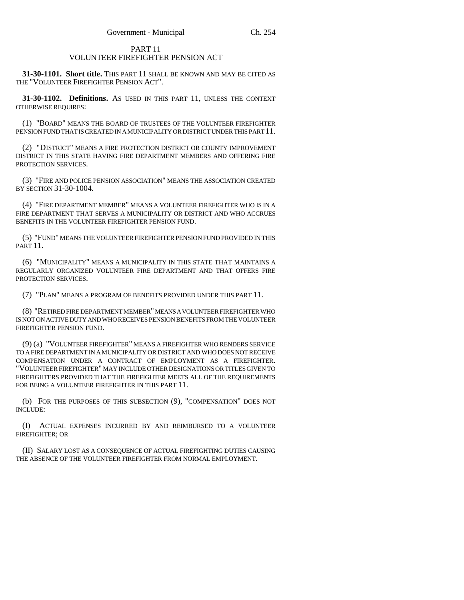### PART 11 VOLUNTEER FIREFIGHTER PENSION ACT

**31-30-1101. Short title.** THIS PART 11 SHALL BE KNOWN AND MAY BE CITED AS THE "VOLUNTEER FIREFIGHTER PENSION ACT".

**31-30-1102. Definitions.** AS USED IN THIS PART 11, UNLESS THE CONTEXT OTHERWISE REQUIRES:

(1) "BOARD" MEANS THE BOARD OF TRUSTEES OF THE VOLUNTEER FIREFIGHTER PENSION FUND THAT IS CREATED IN A MUNICIPALITY OR DISTRICT UNDER THIS PART 11.

(2) "DISTRICT" MEANS A FIRE PROTECTION DISTRICT OR COUNTY IMPROVEMENT DISTRICT IN THIS STATE HAVING FIRE DEPARTMENT MEMBERS AND OFFERING FIRE PROTECTION SERVICES.

(3) "FIRE AND POLICE PENSION ASSOCIATION" MEANS THE ASSOCIATION CREATED BY SECTION 31-30-1004.

(4) "FIRE DEPARTMENT MEMBER" MEANS A VOLUNTEER FIREFIGHTER WHO IS IN A FIRE DEPARTMENT THAT SERVES A MUNICIPALITY OR DISTRICT AND WHO ACCRUES BENEFITS IN THE VOLUNTEER FIREFIGHTER PENSION FUND.

(5) "FUND" MEANS THE VOLUNTEER FIREFIGHTER PENSION FUND PROVIDED IN THIS PART 11.

(6) "MUNICIPALITY" MEANS A MUNICIPALITY IN THIS STATE THAT MAINTAINS A REGULARLY ORGANIZED VOLUNTEER FIRE DEPARTMENT AND THAT OFFERS FIRE PROTECTION SERVICES.

(7) "PLAN" MEANS A PROGRAM OF BENEFITS PROVIDED UNDER THIS PART 11.

(8) "RETIRED FIRE DEPARTMENT MEMBER" MEANS A VOLUNTEER FIREFIGHTER WHO IS NOT ON ACTIVE DUTY AND WHO RECEIVES PENSION BENEFITS FROM THE VOLUNTEER FIREFIGHTER PENSION FUND.

(9) (a) "VOLUNTEER FIREFIGHTER" MEANS A FIREFIGHTER WHO RENDERS SERVICE TO A FIRE DEPARTMENT IN A MUNICIPALITY OR DISTRICT AND WHO DOES NOT RECEIVE COMPENSATION UNDER A CONTRACT OF EMPLOYMENT AS A FIREFIGHTER. "VOLUNTEER FIREFIGHTER" MAY INCLUDE OTHER DESIGNATIONS OR TITLES GIVEN TO FIREFIGHTERS PROVIDED THAT THE FIREFIGHTER MEETS ALL OF THE REQUIREMENTS FOR BEING A VOLUNTEER FIREFIGHTER IN THIS PART 11.

(b) FOR THE PURPOSES OF THIS SUBSECTION (9), "COMPENSATION" DOES NOT INCLUDE:

(I) ACTUAL EXPENSES INCURRED BY AND REIMBURSED TO A VOLUNTEER FIREFIGHTER; OR

(II) SALARY LOST AS A CONSEQUENCE OF ACTUAL FIREFIGHTING DUTIES CAUSING THE ABSENCE OF THE VOLUNTEER FIREFIGHTER FROM NORMAL EMPLOYMENT.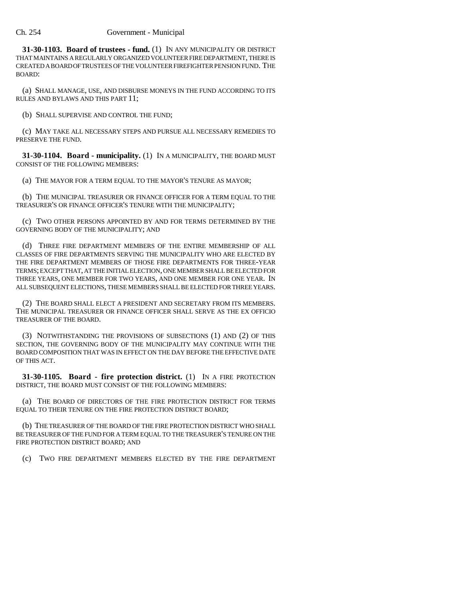**31-30-1103. Board of trustees - fund.** (1) IN ANY MUNICIPALITY OR DISTRICT THAT MAINTAINS A REGULARLY ORGANIZED VOLUNTEER FIRE DEPARTMENT, THERE IS CREATED A BOARD OF TRUSTEES OF THE VOLUNTEER FIREFIGHTER PENSION FUND. THE BOARD:

(a) SHALL MANAGE, USE, AND DISBURSE MONEYS IN THE FUND ACCORDING TO ITS RULES AND BYLAWS AND THIS PART 11;

(b) SHALL SUPERVISE AND CONTROL THE FUND;

(c) MAY TAKE ALL NECESSARY STEPS AND PURSUE ALL NECESSARY REMEDIES TO PRESERVE THE FUND.

**31-30-1104. Board - municipality.** (1) IN A MUNICIPALITY, THE BOARD MUST CONSIST OF THE FOLLOWING MEMBERS:

(a) THE MAYOR FOR A TERM EQUAL TO THE MAYOR'S TENURE AS MAYOR;

(b) THE MUNICIPAL TREASURER OR FINANCE OFFICER FOR A TERM EQUAL TO THE TREASURER'S OR FINANCE OFFICER'S TENURE WITH THE MUNICIPALITY;

(c) TWO OTHER PERSONS APPOINTED BY AND FOR TERMS DETERMINED BY THE GOVERNING BODY OF THE MUNICIPALITY; AND

(d) THREE FIRE DEPARTMENT MEMBERS OF THE ENTIRE MEMBERSHIP OF ALL CLASSES OF FIRE DEPARTMENTS SERVING THE MUNICIPALITY WHO ARE ELECTED BY THE FIRE DEPARTMENT MEMBERS OF THOSE FIRE DEPARTMENTS FOR THREE-YEAR TERMS; EXCEPT THAT, AT THE INITIAL ELECTION, ONE MEMBER SHALL BE ELECTED FOR THREE YEARS, ONE MEMBER FOR TWO YEARS, AND ONE MEMBER FOR ONE YEAR. IN ALL SUBSEQUENT ELECTIONS, THESE MEMBERS SHALL BE ELECTED FOR THREE YEARS.

(2) THE BOARD SHALL ELECT A PRESIDENT AND SECRETARY FROM ITS MEMBERS. THE MUNICIPAL TREASURER OR FINANCE OFFICER SHALL SERVE AS THE EX OFFICIO TREASURER OF THE BOARD.

(3) NOTWITHSTANDING THE PROVISIONS OF SUBSECTIONS (1) AND (2) OF THIS SECTION, THE GOVERNING BODY OF THE MUNICIPALITY MAY CONTINUE WITH THE BOARD COMPOSITION THAT WAS IN EFFECT ON THE DAY BEFORE THE EFFECTIVE DATE OF THIS ACT.

**31-30-1105. Board - fire protection district.** (1) IN A FIRE PROTECTION DISTRICT, THE BOARD MUST CONSIST OF THE FOLLOWING MEMBERS:

(a) THE BOARD OF DIRECTORS OF THE FIRE PROTECTION DISTRICT FOR TERMS EQUAL TO THEIR TENURE ON THE FIRE PROTECTION DISTRICT BOARD;

(b) THE TREASURER OF THE BOARD OF THE FIRE PROTECTION DISTRICT WHO SHALL BE TREASURER OF THE FUND FOR A TERM EQUAL TO THE TREASURER'S TENURE ON THE FIRE PROTECTION DISTRICT BOARD; AND

(c) TWO FIRE DEPARTMENT MEMBERS ELECTED BY THE FIRE DEPARTMENT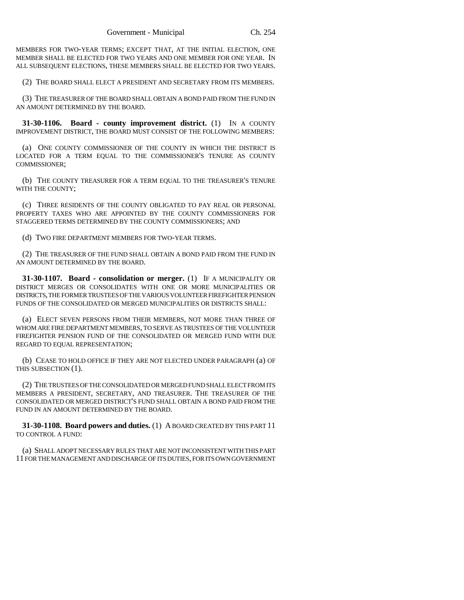MEMBERS FOR TWO-YEAR TERMS; EXCEPT THAT, AT THE INITIAL ELECTION, ONE MEMBER SHALL BE ELECTED FOR TWO YEARS AND ONE MEMBER FOR ONE YEAR. IN ALL SUBSEQUENT ELECTIONS, THESE MEMBERS SHALL BE ELECTED FOR TWO YEARS.

(2) THE BOARD SHALL ELECT A PRESIDENT AND SECRETARY FROM ITS MEMBERS.

(3) THE TREASURER OF THE BOARD SHALL OBTAIN A BOND PAID FROM THE FUND IN AN AMOUNT DETERMINED BY THE BOARD.

**31-30-1106. Board - county improvement district.** (1) IN A COUNTY IMPROVEMENT DISTRICT, THE BOARD MUST CONSIST OF THE FOLLOWING MEMBERS:

(a) ONE COUNTY COMMISSIONER OF THE COUNTY IN WHICH THE DISTRICT IS LOCATED FOR A TERM EQUAL TO THE COMMISSIONER'S TENURE AS COUNTY COMMISSIONER;

(b) THE COUNTY TREASURER FOR A TERM EQUAL TO THE TREASURER'S TENURE WITH THE COUNTY;

(c) THREE RESIDENTS OF THE COUNTY OBLIGATED TO PAY REAL OR PERSONAL PROPERTY TAXES WHO ARE APPOINTED BY THE COUNTY COMMISSIONERS FOR STAGGERED TERMS DETERMINED BY THE COUNTY COMMISSIONERS; AND

(d) TWO FIRE DEPARTMENT MEMBERS FOR TWO-YEAR TERMS.

(2) THE TREASURER OF THE FUND SHALL OBTAIN A BOND PAID FROM THE FUND IN AN AMOUNT DETERMINED BY THE BOARD.

**31-30-1107. Board - consolidation or merger.** (1) IF A MUNICIPALITY OR DISTRICT MERGES OR CONSOLIDATES WITH ONE OR MORE MUNICIPALITIES OR DISTRICTS, THE FORMER TRUSTEES OF THE VARIOUS VOLUNTEER FIREFIGHTER PENSION FUNDS OF THE CONSOLIDATED OR MERGED MUNICIPALITIES OR DISTRICTS SHALL:

(a) ELECT SEVEN PERSONS FROM THEIR MEMBERS, NOT MORE THAN THREE OF WHOM ARE FIRE DEPARTMENT MEMBERS, TO SERVE AS TRUSTEES OF THE VOLUNTEER FIREFIGHTER PENSION FUND OF THE CONSOLIDATED OR MERGED FUND WITH DUE REGARD TO EQUAL REPRESENTATION;

(b) CEASE TO HOLD OFFICE IF THEY ARE NOT ELECTED UNDER PARAGRAPH (a) OF THIS SUBSECTION (1).

(2) THE TRUSTEES OF THE CONSOLIDATED OR MERGED FUND SHALL ELECT FROM ITS MEMBERS A PRESIDENT, SECRETARY, AND TREASURER. THE TREASURER OF THE CONSOLIDATED OR MERGED DISTRICT'S FUND SHALL OBTAIN A BOND PAID FROM THE FUND IN AN AMOUNT DETERMINED BY THE BOARD.

**31-30-1108. Board powers and duties.** (1) A BOARD CREATED BY THIS PART 11 TO CONTROL A FUND:

(a) SHALL ADOPT NECESSARY RULES THAT ARE NOT INCONSISTENT WITH THIS PART 11 FOR THE MANAGEMENT AND DISCHARGE OF ITS DUTIES, FOR ITS OWN GOVERNMENT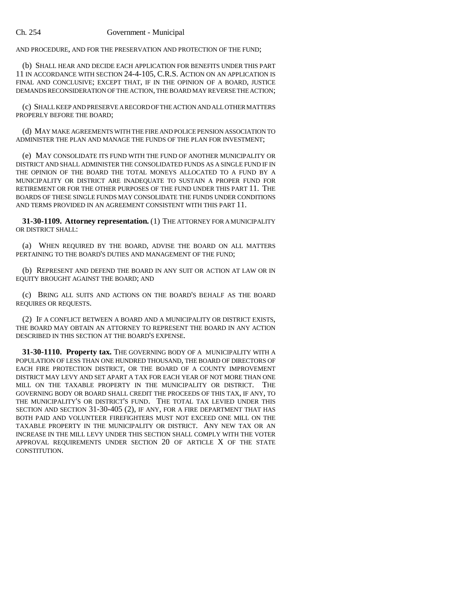AND PROCEDURE, AND FOR THE PRESERVATION AND PROTECTION OF THE FUND;

(b) SHALL HEAR AND DECIDE EACH APPLICATION FOR BENEFITS UNDER THIS PART 11 IN ACCORDANCE WITH SECTION 24-4-105, C.R.S. ACTION ON AN APPLICATION IS FINAL AND CONCLUSIVE; EXCEPT THAT, IF IN THE OPINION OF A BOARD, JUSTICE DEMANDS RECONSIDERATION OF THE ACTION, THE BOARD MAY REVERSE THE ACTION;

(c) SHALL KEEP AND PRESERVE A RECORD OF THE ACTION AND ALL OTHER MATTERS PROPERLY BEFORE THE BOARD;

(d) MAY MAKE AGREEMENTS WITH THE FIRE AND POLICE PENSION ASSOCIATION TO ADMINISTER THE PLAN AND MANAGE THE FUNDS OF THE PLAN FOR INVESTMENT;

(e) MAY CONSOLIDATE ITS FUND WITH THE FUND OF ANOTHER MUNICIPALITY OR DISTRICT AND SHALL ADMINISTER THE CONSOLIDATED FUNDS AS A SINGLE FUND IF IN THE OPINION OF THE BOARD THE TOTAL MONEYS ALLOCATED TO A FUND BY A MUNICIPALITY OR DISTRICT ARE INADEQUATE TO SUSTAIN A PROPER FUND FOR RETIREMENT OR FOR THE OTHER PURPOSES OF THE FUND UNDER THIS PART 11. THE BOARDS OF THESE SINGLE FUNDS MAY CONSOLIDATE THE FUNDS UNDER CONDITIONS AND TERMS PROVIDED IN AN AGREEMENT CONSISTENT WITH THIS PART 11.

**31-30-1109. Attorney representation.** (1) THE ATTORNEY FOR A MUNICIPALITY OR DISTRICT SHALL:

(a) WHEN REQUIRED BY THE BOARD, ADVISE THE BOARD ON ALL MATTERS PERTAINING TO THE BOARD'S DUTIES AND MANAGEMENT OF THE FUND;

(b) REPRESENT AND DEFEND THE BOARD IN ANY SUIT OR ACTION AT LAW OR IN EQUITY BROUGHT AGAINST THE BOARD; AND

(c) BRING ALL SUITS AND ACTIONS ON THE BOARD'S BEHALF AS THE BOARD REQUIRES OR REQUESTS.

(2) IF A CONFLICT BETWEEN A BOARD AND A MUNICIPALITY OR DISTRICT EXISTS, THE BOARD MAY OBTAIN AN ATTORNEY TO REPRESENT THE BOARD IN ANY ACTION DESCRIBED IN THIS SECTION AT THE BOARD'S EXPENSE.

**31-30-1110. Property tax.** THE GOVERNING BODY OF A MUNICIPALITY WITH A POPULATION OF LESS THAN ONE HUNDRED THOUSAND, THE BOARD OF DIRECTORS OF EACH FIRE PROTECTION DISTRICT, OR THE BOARD OF A COUNTY IMPROVEMENT DISTRICT MAY LEVY AND SET APART A TAX FOR EACH YEAR OF NOT MORE THAN ONE MILL ON THE TAXABLE PROPERTY IN THE MUNICIPALITY OR DISTRICT. THE GOVERNING BODY OR BOARD SHALL CREDIT THE PROCEEDS OF THIS TAX, IF ANY, TO THE MUNICIPALITY'S OR DISTRICT'S FUND. THE TOTAL TAX LEVIED UNDER THIS SECTION AND SECTION 31-30-405 (2), IF ANY, FOR A FIRE DEPARTMENT THAT HAS BOTH PAID AND VOLUNTEER FIREFIGHTERS MUST NOT EXCEED ONE MILL ON THE TAXABLE PROPERTY IN THE MUNICIPALITY OR DISTRICT. ANY NEW TAX OR AN INCREASE IN THE MILL LEVY UNDER THIS SECTION SHALL COMPLY WITH THE VOTER APPROVAL REQUIREMENTS UNDER SECTION 20 OF ARTICLE X OF THE STATE CONSTITUTION.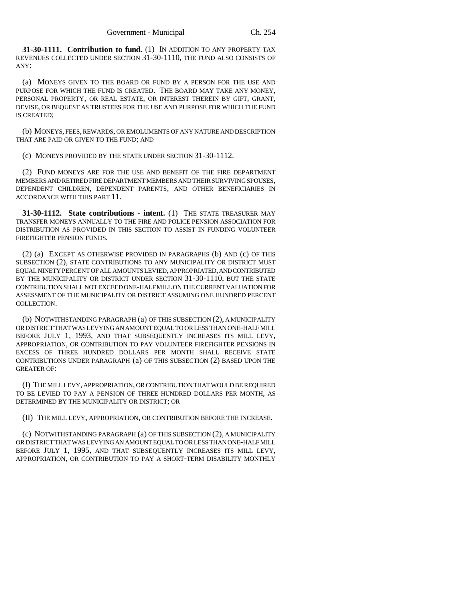**31-30-1111. Contribution to fund.** (1) IN ADDITION TO ANY PROPERTY TAX REVENUES COLLECTED UNDER SECTION 31-30-1110, THE FUND ALSO CONSISTS OF ANY:

(a) MONEYS GIVEN TO THE BOARD OR FUND BY A PERSON FOR THE USE AND PURPOSE FOR WHICH THE FUND IS CREATED. THE BOARD MAY TAKE ANY MONEY, PERSONAL PROPERTY, OR REAL ESTATE, OR INTEREST THEREIN BY GIFT, GRANT, DEVISE, OR BEQUEST AS TRUSTEES FOR THE USE AND PURPOSE FOR WHICH THE FUND IS CREATED;

(b) MONEYS, FEES, REWARDS, OR EMOLUMENTS OF ANY NATURE AND DESCRIPTION THAT ARE PAID OR GIVEN TO THE FUND; AND

(c) MONEYS PROVIDED BY THE STATE UNDER SECTION 31-30-1112.

(2) FUND MONEYS ARE FOR THE USE AND BENEFIT OF THE FIRE DEPARTMENT MEMBERS AND RETIRED FIRE DEPARTMENT MEMBERS AND THEIR SURVIVING SPOUSES, DEPENDENT CHILDREN, DEPENDENT PARENTS, AND OTHER BENEFICIARIES IN ACCORDANCE WITH THIS PART 11.

**31-30-1112. State contributions - intent.** (1) THE STATE TREASURER MAY TRANSFER MONEYS ANNUALLY TO THE FIRE AND POLICE PENSION ASSOCIATION FOR DISTRIBUTION AS PROVIDED IN THIS SECTION TO ASSIST IN FUNDING VOLUNTEER FIREFIGHTER PENSION FUNDS.

(2) (a) EXCEPT AS OTHERWISE PROVIDED IN PARAGRAPHS (b) AND (c) OF THIS SUBSECTION (2), STATE CONTRIBUTIONS TO ANY MUNICIPALITY OR DISTRICT MUST EQUAL NINETY PERCENT OF ALL AMOUNTS LEVIED, APPROPRIATED, AND CONTRIBUTED BY THE MUNICIPALITY OR DISTRICT UNDER SECTION 31-30-1110, BUT THE STATE CONTRIBUTION SHALL NOT EXCEED ONE-HALF MILL ON THE CURRENT VALUATION FOR ASSESSMENT OF THE MUNICIPALITY OR DISTRICT ASSUMING ONE HUNDRED PERCENT COLLECTION.

(b) NOTWITHSTANDING PARAGRAPH (a) OF THIS SUBSECTION (2), A MUNICIPALITY OR DISTRICT THAT WAS LEVYING AN AMOUNT EQUAL TO OR LESS THAN ONE-HALF MILL BEFORE JULY 1, 1993, AND THAT SUBSEQUENTLY INCREASES ITS MILL LEVY, APPROPRIATION, OR CONTRIBUTION TO PAY VOLUNTEER FIREFIGHTER PENSIONS IN EXCESS OF THREE HUNDRED DOLLARS PER MONTH SHALL RECEIVE STATE CONTRIBUTIONS UNDER PARAGRAPH (a) OF THIS SUBSECTION (2) BASED UPON THE GREATER OF:

(I) THE MILL LEVY, APPROPRIATION, OR CONTRIBUTION THAT WOULD BE REQUIRED TO BE LEVIED TO PAY A PENSION OF THREE HUNDRED DOLLARS PER MONTH, AS DETERMINED BY THE MUNICIPALITY OR DISTRICT; OR

(II) THE MILL LEVY, APPROPRIATION, OR CONTRIBUTION BEFORE THE INCREASE.

(c) NOTWITHSTANDING PARAGRAPH (a) OF THIS SUBSECTION (2), A MUNICIPALITY OR DISTRICT THAT WAS LEVYING AN AMOUNT EQUAL TO OR LESS THAN ONE-HALF MILL BEFORE JULY 1, 1995, AND THAT SUBSEQUENTLY INCREASES ITS MILL LEVY, APPROPRIATION, OR CONTRIBUTION TO PAY A SHORT-TERM DISABILITY MONTHLY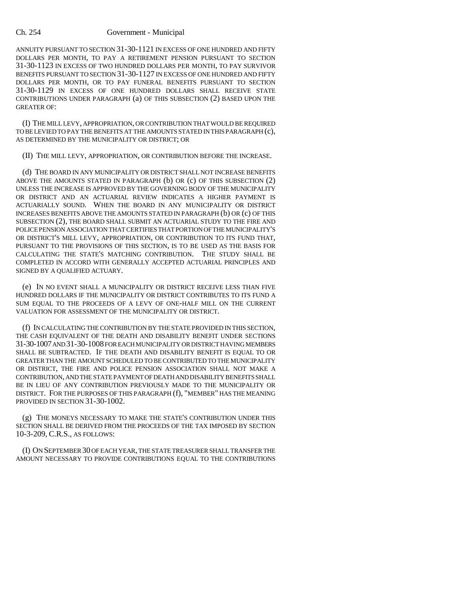ANNUITY PURSUANT TO SECTION 31-30-1121 IN EXCESS OF ONE HUNDRED AND FIFTY DOLLARS PER MONTH, TO PAY A RETIREMENT PENSION PURSUANT TO SECTION 31-30-1123 IN EXCESS OF TWO HUNDRED DOLLARS PER MONTH, TO PAY SURVIVOR BENEFITS PURSUANT TO SECTION 31-30-1127 IN EXCESS OF ONE HUNDRED AND FIFTY DOLLARS PER MONTH, OR TO PAY FUNERAL BENEFITS PURSUANT TO SECTION 31-30-1129 IN EXCESS OF ONE HUNDRED DOLLARS SHALL RECEIVE STATE CONTRIBUTIONS UNDER PARAGRAPH (a) OF THIS SUBSECTION (2) BASED UPON THE GREATER OF:

(I) THE MILL LEVY, APPROPRIATION, OR CONTRIBUTION THAT WOULD BE REQUIRED TO BE LEVIED TO PAY THE BENEFITS AT THE AMOUNTS STATED IN THIS PARAGRAPH (c), AS DETERMINED BY THE MUNICIPALITY OR DISTRICT; OR

(II) THE MILL LEVY, APPROPRIATION, OR CONTRIBUTION BEFORE THE INCREASE.

(d) THE BOARD IN ANY MUNICIPALITY OR DISTRICT SHALL NOT INCREASE BENEFITS ABOVE THE AMOUNTS STATED IN PARAGRAPH (b) OR (c) OF THIS SUBSECTION (2) UNLESS THE INCREASE IS APPROVED BY THE GOVERNING BODY OF THE MUNICIPALITY OR DISTRICT AND AN ACTUARIAL REVIEW INDICATES A HIGHER PAYMENT IS ACTUARIALLY SOUND. WHEN THE BOARD IN ANY MUNICIPALITY OR DISTRICT INCREASES BENEFITS ABOVE THE AMOUNTS STATED IN PARAGRAPH (b) OR (c) OF THIS SUBSECTION (2), THE BOARD SHALL SUBMIT AN ACTUARIAL STUDY TO THE FIRE AND POLICE PENSION ASSOCIATION THAT CERTIFIES THAT PORTION OF THE MUNICIPALITY'S OR DISTRICT'S MILL LEVY, APPROPRIATION, OR CONTRIBUTION TO ITS FUND THAT, PURSUANT TO THE PROVISIONS OF THIS SECTION, IS TO BE USED AS THE BASIS FOR CALCULATING THE STATE'S MATCHING CONTRIBUTION. THE STUDY SHALL BE COMPLETED IN ACCORD WITH GENERALLY ACCEPTED ACTUARIAL PRINCIPLES AND SIGNED BY A QUALIFIED ACTUARY.

(e) IN NO EVENT SHALL A MUNICIPALITY OR DISTRICT RECEIVE LESS THAN FIVE HUNDRED DOLLARS IF THE MUNICIPALITY OR DISTRICT CONTRIBUTES TO ITS FUND A SUM EQUAL TO THE PROCEEDS OF A LEVY OF ONE-HALF MILL ON THE CURRENT VALUATION FOR ASSESSMENT OF THE MUNICIPALITY OR DISTRICT.

(f) IN CALCULATING THE CONTRIBUTION BY THE STATE PROVIDED IN THIS SECTION, THE CASH EQUIVALENT OF THE DEATH AND DISABILITY BENEFIT UNDER SECTIONS 31-30-1007 AND 31-30-1008 FOR EACH MUNICIPALITY OR DISTRICT HAVING MEMBERS SHALL BE SUBTRACTED. IF THE DEATH AND DISABILITY BENEFIT IS EQUAL TO OR GREATER THAN THE AMOUNT SCHEDULED TO BE CONTRIBUTED TO THE MUNICIPALITY OR DISTRICT, THE FIRE AND POLICE PENSION ASSOCIATION SHALL NOT MAKE A CONTRIBUTION, AND THE STATE PAYMENT OF DEATH AND DISABILITY BENEFITS SHALL BE IN LIEU OF ANY CONTRIBUTION PREVIOUSLY MADE TO THE MUNICIPALITY OR DISTRICT. FOR THE PURPOSES OF THIS PARAGRAPH (f), "MEMBER" HAS THE MEANING PROVIDED IN SECTION 31-30-1002.

(g) THE MONEYS NECESSARY TO MAKE THE STATE'S CONTRIBUTION UNDER THIS SECTION SHALL BE DERIVED FROM THE PROCEEDS OF THE TAX IMPOSED BY SECTION 10-3-209, C.R.S., AS FOLLOWS:

(I) ON SEPTEMBER 30 OF EACH YEAR, THE STATE TREASURER SHALL TRANSFER THE AMOUNT NECESSARY TO PROVIDE CONTRIBUTIONS EQUAL TO THE CONTRIBUTIONS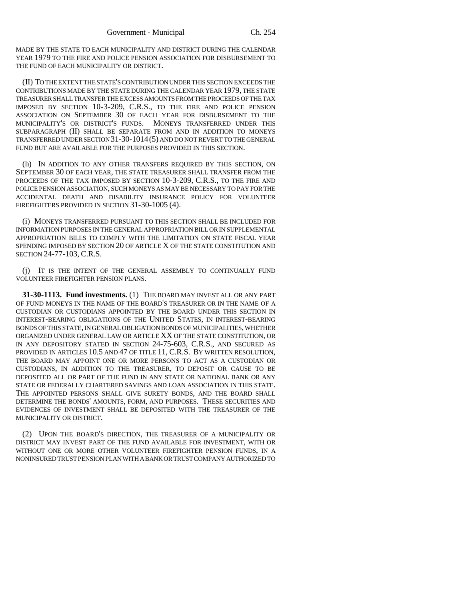MADE BY THE STATE TO EACH MUNICIPALITY AND DISTRICT DURING THE CALENDAR YEAR 1979 TO THE FIRE AND POLICE PENSION ASSOCIATION FOR DISBURSEMENT TO THE FUND OF EACH MUNICIPALITY OR DISTRICT.

(II) TO THE EXTENT THE STATE'S CONTRIBUTION UNDER THIS SECTION EXCEEDS THE CONTRIBUTIONS MADE BY THE STATE DURING THE CALENDAR YEAR 1979, THE STATE TREASURER SHALL TRANSFER THE EXCESS AMOUNTS FROM THE PROCEEDS OF THE TAX IMPOSED BY SECTION 10-3-209, C.R.S., TO THE FIRE AND POLICE PENSION ASSOCIATION ON SEPTEMBER 30 OF EACH YEAR FOR DISBURSEMENT TO THE MUNICIPALITY'S OR DISTRICT'S FUNDS. MONEYS TRANSFERRED UNDER THIS SUBPARAGRAPH (II) SHALL BE SEPARATE FROM AND IN ADDITION TO MONEYS TRANSFERRED UNDER SECTION 31-30-1014(5) AND DO NOT REVERT TO THE GENERAL FUND BUT ARE AVAILABLE FOR THE PURPOSES PROVIDED IN THIS SECTION.

(h) IN ADDITION TO ANY OTHER TRANSFERS REQUIRED BY THIS SECTION, ON SEPTEMBER 30 OF EACH YEAR, THE STATE TREASURER SHALL TRANSFER FROM THE PROCEEDS OF THE TAX IMPOSED BY SECTION 10-3-209, C.R.S., TO THE FIRE AND POLICE PENSION ASSOCIATION, SUCH MONEYS AS MAY BE NECESSARY TO PAY FOR THE ACCIDENTAL DEATH AND DISABILITY INSURANCE POLICY FOR VOLUNTEER FIREFIGHTERS PROVIDED IN SECTION 31-30-1005 (4).

(i) MONEYS TRANSFERRED PURSUANT TO THIS SECTION SHALL BE INCLUDED FOR INFORMATION PURPOSES IN THE GENERAL APPROPRIATION BILL OR IN SUPPLEMENTAL APPROPRIATION BILLS TO COMPLY WITH THE LIMITATION ON STATE FISCAL YEAR SPENDING IMPOSED BY SECTION 20 OF ARTICLE X OF THE STATE CONSTITUTION AND SECTION 24-77-103, C.R.S.

(j) IT IS THE INTENT OF THE GENERAL ASSEMBLY TO CONTINUALLY FUND VOLUNTEER FIREFIGHTER PENSION PLANS.

**31-30-1113. Fund investments.** (1) THE BOARD MAY INVEST ALL OR ANY PART OF FUND MONEYS IN THE NAME OF THE BOARD'S TREASURER OR IN THE NAME OF A CUSTODIAN OR CUSTODIANS APPOINTED BY THE BOARD UNDER THIS SECTION IN INTEREST-BEARING OBLIGATIONS OF THE UNITED STATES, IN INTEREST-BEARING BONDS OF THIS STATE, IN GENERAL OBLIGATION BONDS OF MUNICIPALITIES, WHETHER ORGANIZED UNDER GENERAL LAW OR ARTICLE XX OF THE STATE CONSTITUTION, OR IN ANY DEPOSITORY STATED IN SECTION 24-75-603, C.R.S., AND SECURED AS PROVIDED IN ARTICLES 10.5 AND 47 OF TITLE 11, C.R.S. BY WRITTEN RESOLUTION, THE BOARD MAY APPOINT ONE OR MORE PERSONS TO ACT AS A CUSTODIAN OR CUSTODIANS, IN ADDITION TO THE TREASURER, TO DEPOSIT OR CAUSE TO BE DEPOSITED ALL OR PART OF THE FUND IN ANY STATE OR NATIONAL BANK OR ANY STATE OR FEDERALLY CHARTERED SAVINGS AND LOAN ASSOCIATION IN THIS STATE. THE APPOINTED PERSONS SHALL GIVE SURETY BONDS, AND THE BOARD SHALL DETERMINE THE BONDS' AMOUNTS, FORM, AND PURPOSES. THESE SECURITIES AND EVIDENCES OF INVESTMENT SHALL BE DEPOSITED WITH THE TREASURER OF THE MUNICIPALITY OR DISTRICT.

(2) UPON THE BOARD'S DIRECTION, THE TREASURER OF A MUNICIPALITY OR DISTRICT MAY INVEST PART OF THE FUND AVAILABLE FOR INVESTMENT, WITH OR WITHOUT ONE OR MORE OTHER VOLUNTEER FIREFIGHTER PENSION FUNDS, IN A NONINSURED TRUST PENSION PLAN WITH A BANK OR TRUST COMPANY AUTHORIZED TO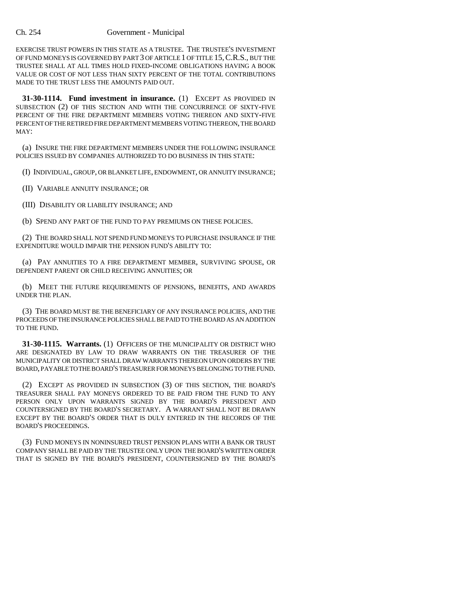EXERCISE TRUST POWERS IN THIS STATE AS A TRUSTEE. THE TRUSTEE'S INVESTMENT OF FUND MONEYS IS GOVERNED BY PART 3 OF ARTICLE 1 OF TITLE 15,C.R.S., BUT THE TRUSTEE SHALL AT ALL TIMES HOLD FIXED-INCOME OBLIGATIONS HAVING A BOOK VALUE OR COST OF NOT LESS THAN SIXTY PERCENT OF THE TOTAL CONTRIBUTIONS MADE TO THE TRUST LESS THE AMOUNTS PAID OUT.

**31-30-1114. Fund investment in insurance.** (1) EXCEPT AS PROVIDED IN SUBSECTION (2) OF THIS SECTION AND WITH THE CONCURRENCE OF SIXTY-FIVE PERCENT OF THE FIRE DEPARTMENT MEMBERS VOTING THEREON AND SIXTY-FIVE PERCENT OF THE RETIRED FIRE DEPARTMENT MEMBERS VOTING THEREON, THE BOARD MAY:

(a) INSURE THE FIRE DEPARTMENT MEMBERS UNDER THE FOLLOWING INSURANCE POLICIES ISSUED BY COMPANIES AUTHORIZED TO DO BUSINESS IN THIS STATE:

(I) INDIVIDUAL, GROUP, OR BLANKET LIFE, ENDOWMENT, OR ANNUITY INSURANCE;

(II) VARIABLE ANNUITY INSURANCE; OR

(III) DISABILITY OR LIABILITY INSURANCE; AND

(b) SPEND ANY PART OF THE FUND TO PAY PREMIUMS ON THESE POLICIES.

(2) THE BOARD SHALL NOT SPEND FUND MONEYS TO PURCHASE INSURANCE IF THE EXPENDITURE WOULD IMPAIR THE PENSION FUND'S ABILITY TO:

(a) PAY ANNUITIES TO A FIRE DEPARTMENT MEMBER, SURVIVING SPOUSE, OR DEPENDENT PARENT OR CHILD RECEIVING ANNUITIES; OR

(b) MEET THE FUTURE REQUIREMENTS OF PENSIONS, BENEFITS, AND AWARDS UNDER THE PLAN.

(3) THE BOARD MUST BE THE BENEFICIARY OF ANY INSURANCE POLICIES, AND THE PROCEEDS OF THE INSURANCE POLICIES SHALL BE PAID TO THE BOARD AS AN ADDITION TO THE FUND.

**31-30-1115. Warrants.** (1) OFFICERS OF THE MUNICIPALITY OR DISTRICT WHO ARE DESIGNATED BY LAW TO DRAW WARRANTS ON THE TREASURER OF THE MUNICIPALITY OR DISTRICT SHALL DRAW WARRANTS THEREON UPON ORDERS BY THE BOARD, PAYABLE TO THE BOARD'S TREASURER FOR MONEYS BELONGING TO THE FUND.

(2) EXCEPT AS PROVIDED IN SUBSECTION (3) OF THIS SECTION, THE BOARD'S TREASURER SHALL PAY MONEYS ORDERED TO BE PAID FROM THE FUND TO ANY PERSON ONLY UPON WARRANTS SIGNED BY THE BOARD'S PRESIDENT AND COUNTERSIGNED BY THE BOARD'S SECRETARY. A WARRANT SHALL NOT BE DRAWN EXCEPT BY THE BOARD'S ORDER THAT IS DULY ENTERED IN THE RECORDS OF THE BOARD'S PROCEEDINGS.

(3) FUND MONEYS IN NONINSURED TRUST PENSION PLANS WITH A BANK OR TRUST COMPANY SHALL BE PAID BY THE TRUSTEE ONLY UPON THE BOARD'S WRITTEN ORDER THAT IS SIGNED BY THE BOARD'S PRESIDENT, COUNTERSIGNED BY THE BOARD'S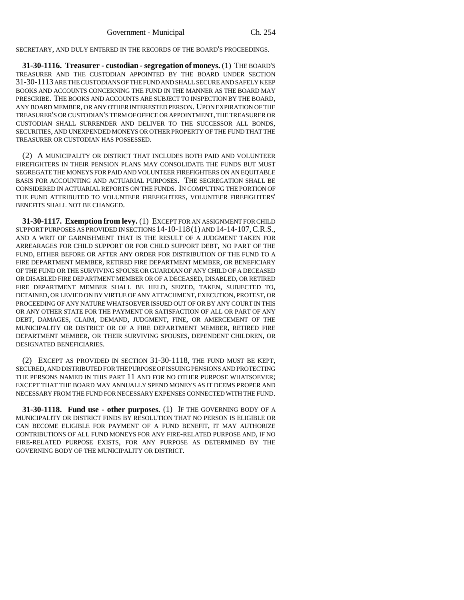SECRETARY, AND DULY ENTERED IN THE RECORDS OF THE BOARD'S PROCEEDINGS.

**31-30-1116. Treasurer - custodian - segregation of moneys.** (1) THE BOARD'S TREASURER AND THE CUSTODIAN APPOINTED BY THE BOARD UNDER SECTION 31-30-1113 ARE THE CUSTODIANS OF THE FUND AND SHALL SECURE AND SAFELY KEEP BOOKS AND ACCOUNTS CONCERNING THE FUND IN THE MANNER AS THE BOARD MAY PRESCRIBE. THE BOOKS AND ACCOUNTS ARE SUBJECT TO INSPECTION BY THE BOARD, ANY BOARD MEMBER, OR ANY OTHER INTERESTED PERSON. UPON EXPIRATION OF THE TREASURER'S OR CUSTODIAN'S TERM OF OFFICE OR APPOINTMENT, THE TREASURER OR CUSTODIAN SHALL SURRENDER AND DELIVER TO THE SUCCESSOR ALL BONDS, SECURITIES, AND UNEXPENDED MONEYS OR OTHER PROPERTY OF THE FUND THAT THE TREASURER OR CUSTODIAN HAS POSSESSED.

(2) A MUNICIPALITY OR DISTRICT THAT INCLUDES BOTH PAID AND VOLUNTEER FIREFIGHTERS IN THEIR PENSION PLANS MAY CONSOLIDATE THE FUNDS BUT MUST SEGREGATE THE MONEYS FOR PAID AND VOLUNTEER FIREFIGHTERS ON AN EQUITABLE BASIS FOR ACCOUNTING AND ACTUARIAL PURPOSES. THE SEGREGATION SHALL BE CONSIDERED IN ACTUARIAL REPORTS ON THE FUNDS. IN COMPUTING THE PORTION OF THE FUND ATTRIBUTED TO VOLUNTEER FIREFIGHTERS, VOLUNTEER FIREFIGHTERS' BENEFITS SHALL NOT BE CHANGED.

**31-30-1117. Exemption from levy.** (1) EXCEPT FOR AN ASSIGNMENT FOR CHILD SUPPORT PURPOSES AS PROVIDED IN SECTIONS 14-10-118(1) AND 14-14-107,C.R.S., AND A WRIT OF GARNISHMENT THAT IS THE RESULT OF A JUDGMENT TAKEN FOR ARREARAGES FOR CHILD SUPPORT OR FOR CHILD SUPPORT DEBT, NO PART OF THE FUND, EITHER BEFORE OR AFTER ANY ORDER FOR DISTRIBUTION OF THE FUND TO A FIRE DEPARTMENT MEMBER, RETIRED FIRE DEPARTMENT MEMBER, OR BENEFICIARY OF THE FUND OR THE SURVIVING SPOUSE OR GUARDIAN OF ANY CHILD OF A DECEASED OR DISABLED FIRE DEPARTMENT MEMBER OR OF A DECEASED, DISABLED, OR RETIRED FIRE DEPARTMENT MEMBER SHALL BE HELD, SEIZED, TAKEN, SUBJECTED TO, DETAINED, OR LEVIED ON BY VIRTUE OF ANY ATTACHMENT, EXECUTION, PROTEST, OR PROCEEDING OF ANY NATURE WHATSOEVER ISSUED OUT OF OR BY ANY COURT IN THIS OR ANY OTHER STATE FOR THE PAYMENT OR SATISFACTION OF ALL OR PART OF ANY DEBT, DAMAGES, CLAIM, DEMAND, JUDGMENT, FINE, OR AMERCEMENT OF THE MUNICIPALITY OR DISTRICT OR OF A FIRE DEPARTMENT MEMBER, RETIRED FIRE DEPARTMENT MEMBER, OR THEIR SURVIVING SPOUSES, DEPENDENT CHILDREN, OR DESIGNATED BENEFICIARIES.

(2) EXCEPT AS PROVIDED IN SECTION 31-30-1118, THE FUND MUST BE KEPT, SECURED, AND DISTRIBUTED FOR THE PURPOSE OF ISSUING PENSIONS AND PROTECTING THE PERSONS NAMED IN THIS PART 11 AND FOR NO OTHER PURPOSE WHATSOEVER; EXCEPT THAT THE BOARD MAY ANNUALLY SPEND MONEYS AS IT DEEMS PROPER AND NECESSARY FROM THE FUND FOR NECESSARY EXPENSES CONNECTED WITH THE FUND.

**31-30-1118. Fund use - other purposes.** (1) IF THE GOVERNING BODY OF A MUNICIPALITY OR DISTRICT FINDS BY RESOLUTION THAT NO PERSON IS ELIGIBLE OR CAN BECOME ELIGIBLE FOR PAYMENT OF A FUND BENEFIT, IT MAY AUTHORIZE CONTRIBUTIONS OF ALL FUND MONEYS FOR ANY FIRE-RELATED PURPOSE AND, IF NO FIRE-RELATED PURPOSE EXISTS, FOR ANY PURPOSE AS DETERMINED BY THE GOVERNING BODY OF THE MUNICIPALITY OR DISTRICT.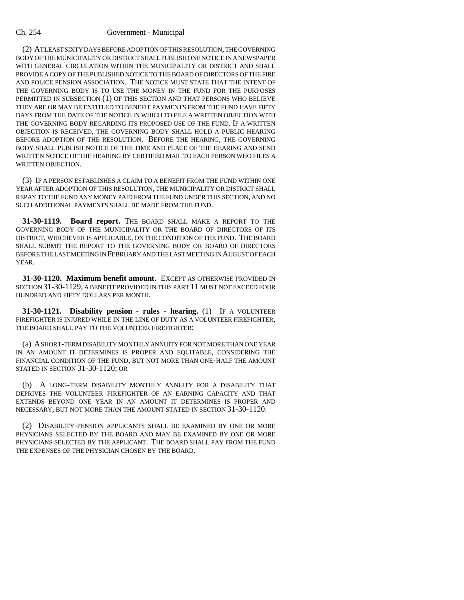(2) AT LEAST SIXTY DAYS BEFORE ADOPTION OF THIS RESOLUTION, THE GOVERNING BODY OF THE MUNICIPALITY OR DISTRICT SHALL PUBLISH ONE NOTICE IN A NEWSPAPER WITH GENERAL CIRCULATION WITHIN THE MUNICIPALITY OR DISTRICT AND SHALL PROVIDE A COPY OF THE PUBLISHED NOTICE TO THE BOARD OF DIRECTORS OF THE FIRE AND POLICE PENSION ASSOCIATION. THE NOTICE MUST STATE THAT THE INTENT OF THE GOVERNING BODY IS TO USE THE MONEY IN THE FUND FOR THE PURPOSES PERMITTED IN SUBSECTION (1) OF THIS SECTION AND THAT PERSONS WHO BELIEVE THEY ARE OR MAY BE ENTITLED TO BENEFIT PAYMENTS FROM THE FUND HAVE FIFTY DAYS FROM THE DATE OF THE NOTICE IN WHICH TO FILE A WRITTEN OBJECTION WITH THE GOVERNING BODY REGARDING ITS PROPOSED USE OF THE FUND. IF A WRITTEN OBJECTION IS RECEIVED, THE GOVERNING BODY SHALL HOLD A PUBLIC HEARING BEFORE ADOPTION OF THE RESOLUTION. BEFORE THE HEARING, THE GOVERNING BODY SHALL PUBLISH NOTICE OF THE TIME AND PLACE OF THE HEARING AND SEND WRITTEN NOTICE OF THE HEARING BY CERTIFIED MAIL TO EACH PERSON WHO FILES A WRITTEN OBJECTION.

(3) IF A PERSON ESTABLISHES A CLAIM TO A BENEFIT FROM THE FUND WITHIN ONE YEAR AFTER ADOPTION OF THIS RESOLUTION, THE MUNICIPALITY OR DISTRICT SHALL REPAY TO THE FUND ANY MONEY PAID FROM THE FUND UNDER THIS SECTION, AND NO SUCH ADDITIONAL PAYMENTS SHALL BE MADE FROM THE FUND.

**31-30-1119. Board report.** THE BOARD SHALL MAKE A REPORT TO THE GOVERNING BODY OF THE MUNICIPALITY OR THE BOARD OF DIRECTORS OF ITS DISTRICT, WHICHEVER IS APPLICABLE, ON THE CONDITION OF THE FUND. THE BOARD SHALL SUBMIT THE REPORT TO THE GOVERNING BODY OR BOARD OF DIRECTORS BEFORE THE LAST MEETING IN FEBRUARY AND THE LAST MEETING IN AUGUST OF EACH YEAR.

**31-30-1120. Maximum benefit amount.** EXCEPT AS OTHERWISE PROVIDED IN SECTION 31-30-1129, A BENEFIT PROVIDED IN THIS PART 11 MUST NOT EXCEED FOUR HUNDRED AND FIFTY DOLLARS PER MONTH.

**31-30-1121. Disability pension - rules - hearing.** (1) IF A VOLUNTEER FIREFIGHTER IS INJURED WHILE IN THE LINE OF DUTY AS A VOLUNTEER FIREFIGHTER, THE BOARD SHALL PAY TO THE VOLUNTEER FIREFIGHTER:

(a) A SHORT-TERM DISABILITY MONTHLY ANNUITY FOR NOT MORE THAN ONE YEAR IN AN AMOUNT IT DETERMINES IS PROPER AND EQUITABLE, CONSIDERING THE FINANCIAL CONDITION OF THE FUND, BUT NOT MORE THAN ONE-HALF THE AMOUNT STATED IN SECTION 31-30-1120; OR

(b) A LONG-TERM DISABILITY MONTHLY ANNUITY FOR A DISABILITY THAT DEPRIVES THE VOLUNTEER FIREFIGHTER OF AN EARNING CAPACITY AND THAT EXTENDS BEYOND ONE YEAR IN AN AMOUNT IT DETERMINES IS PROPER AND NECESSARY, BUT NOT MORE THAN THE AMOUNT STATED IN SECTION 31-30-1120.

(2) DISABILITY-PENSION APPLICANTS SHALL BE EXAMINED BY ONE OR MORE PHYSICIANS SELECTED BY THE BOARD AND MAY BE EXAMINED BY ONE OR MORE PHYSICIANS SELECTED BY THE APPLICANT. THE BOARD SHALL PAY FROM THE FUND THE EXPENSES OF THE PHYSICIAN CHOSEN BY THE BOARD.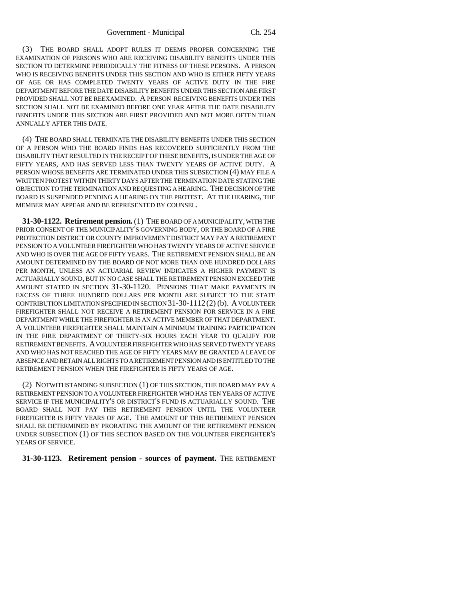(3) THE BOARD SHALL ADOPT RULES IT DEEMS PROPER CONCERNING THE EXAMINATION OF PERSONS WHO ARE RECEIVING DISABILITY BENEFITS UNDER THIS SECTION TO DETERMINE PERIODICALLY THE FITNESS OF THESE PERSONS. A PERSON WHO IS RECEIVING BENEFITS UNDER THIS SECTION AND WHO IS EITHER FIFTY YEARS OF AGE OR HAS COMPLETED TWENTY YEARS OF ACTIVE DUTY IN THE FIRE DEPARTMENT BEFORE THE DATE DISABILITY BENEFITS UNDER THIS SECTION ARE FIRST PROVIDED SHALL NOT BE REEXAMINED. A PERSON RECEIVING BENEFITS UNDER THIS SECTION SHALL NOT BE EXAMINED BEFORE ONE YEAR AFTER THE DATE DISABILITY BENEFITS UNDER THIS SECTION ARE FIRST PROVIDED AND NOT MORE OFTEN THAN ANNUALLY AFTER THIS DATE.

(4) THE BOARD SHALL TERMINATE THE DISABILITY BENEFITS UNDER THIS SECTION OF A PERSON WHO THE BOARD FINDS HAS RECOVERED SUFFICIENTLY FROM THE DISABILITY THAT RESULTED IN THE RECEIPT OF THESE BENEFITS, IS UNDER THE AGE OF FIFTY YEARS, AND HAS SERVED LESS THAN TWENTY YEARS OF ACTIVE DUTY. A PERSON WHOSE BENEFITS ARE TERMINATED UNDER THIS SUBSECTION (4) MAY FILE A WRITTEN PROTEST WITHIN THIRTY DAYS AFTER THE TERMINATION DATE STATING THE OBJECTION TO THE TERMINATION AND REQUESTING A HEARING. THE DECISION OF THE BOARD IS SUSPENDED PENDING A HEARING ON THE PROTEST. AT THE HEARING, THE MEMBER MAY APPEAR AND BE REPRESENTED BY COUNSEL.

**31-30-1122. Retirement pension.** (1) THE BOARD OF A MUNICIPALITY, WITH THE PRIOR CONSENT OF THE MUNICIPALITY'S GOVERNING BODY, OR THE BOARD OF A FIRE PROTECTION DISTRICT OR COUNTY IMPROVEMENT DISTRICT MAY PAY A RETIREMENT PENSION TO A VOLUNTEER FIREFIGHTER WHO HAS TWENTY YEARS OF ACTIVE SERVICE AND WHO IS OVER THE AGE OF FIFTY YEARS. THE RETIREMENT PENSION SHALL BE AN AMOUNT DETERMINED BY THE BOARD OF NOT MORE THAN ONE HUNDRED DOLLARS PER MONTH, UNLESS AN ACTUARIAL REVIEW INDICATES A HIGHER PAYMENT IS ACTUARIALLY SOUND, BUT IN NO CASE SHALL THE RETIREMENT PENSION EXCEED THE AMOUNT STATED IN SECTION 31-30-1120. PENSIONS THAT MAKE PAYMENTS IN EXCESS OF THREE HUNDRED DOLLARS PER MONTH ARE SUBJECT TO THE STATE CONTRIBUTION LIMITATION SPECIFIED IN SECTION 31-30-1112 (2) (b). A VOLUNTEER FIREFIGHTER SHALL NOT RECEIVE A RETIREMENT PENSION FOR SERVICE IN A FIRE DEPARTMENT WHILE THE FIREFIGHTER IS AN ACTIVE MEMBER OF THAT DEPARTMENT. A VOLUNTEER FIREFIGHTER SHALL MAINTAIN A MINIMUM TRAINING PARTICIPATION IN THE FIRE DEPARTMENT OF THIRTY-SIX HOURS EACH YEAR TO QUALIFY FOR RETIREMENT BENEFITS. A VOLUNTEER FIREFIGHTER WHO HAS SERVED TWENTY YEARS AND WHO HAS NOT REACHED THE AGE OF FIFTY YEARS MAY BE GRANTED A LEAVE OF ABSENCE AND RETAIN ALL RIGHTS TO A RETIREMENT PENSION AND IS ENTITLED TO THE RETIREMENT PENSION WHEN THE FIREFIGHTER IS FIFTY YEARS OF AGE.

(2) NOTWITHSTANDING SUBSECTION (1) OF THIS SECTION, THE BOARD MAY PAY A RETIREMENT PENSION TO A VOLUNTEER FIREFIGHTER WHO HAS TEN YEARS OF ACTIVE SERVICE IF THE MUNICIPALITY'S OR DISTRICT'S FUND IS ACTUARIALLY SOUND. THE BOARD SHALL NOT PAY THIS RETIREMENT PENSION UNTIL THE VOLUNTEER FIREFIGHTER IS FIFTY YEARS OF AGE. THE AMOUNT OF THIS RETIREMENT PENSION SHALL BE DETERMINED BY PRORATING THE AMOUNT OF THE RETIREMENT PENSION UNDER SUBSECTION (1) OF THIS SECTION BASED ON THE VOLUNTEER FIREFIGHTER'S YEARS OF SERVICE.

**31-30-1123. Retirement pension - sources of payment.** THE RETIREMENT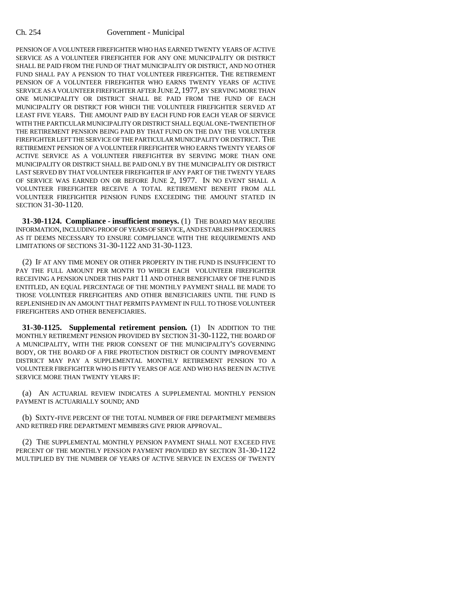PENSION OF A VOLUNTEER FIREFIGHTER WHO HAS EARNED TWENTY YEARS OF ACTIVE SERVICE AS A VOLUNTEER FIREFIGHTER FOR ANY ONE MUNICIPALITY OR DISTRICT SHALL BE PAID FROM THE FUND OF THAT MUNICIPALITY OR DISTRICT, AND NO OTHER FUND SHALL PAY A PENSION TO THAT VOLUNTEER FIREFIGHTER. THE RETIREMENT PENSION OF A VOLUNTEER FIREFIGHTER WHO EARNS TWENTY YEARS OF ACTIVE SERVICE AS A VOLUNTEER FIREFIGHTER AFTER JUNE 2, 1977, BY SERVING MORE THAN ONE MUNICIPALITY OR DISTRICT SHALL BE PAID FROM THE FUND OF EACH MUNICIPALITY OR DISTRICT FOR WHICH THE VOLUNTEER FIREFIGHTER SERVED AT LEAST FIVE YEARS. THE AMOUNT PAID BY EACH FUND FOR EACH YEAR OF SERVICE WITH THE PARTICULAR MUNICIPALITY OR DISTRICT SHALL EQUAL ONE-TWENTIETH OF THE RETIREMENT PENSION BEING PAID BY THAT FUND ON THE DAY THE VOLUNTEER FIREFIGHTER LEFT THE SERVICE OF THE PARTICULAR MUNICIPALITY OR DISTRICT. THE RETIREMENT PENSION OF A VOLUNTEER FIREFIGHTER WHO EARNS TWENTY YEARS OF ACTIVE SERVICE AS A VOLUNTEER FIREFIGHTER BY SERVING MORE THAN ONE MUNICIPALITY OR DISTRICT SHALL BE PAID ONLY BY THE MUNICIPALITY OR DISTRICT LAST SERVED BY THAT VOLUNTEER FIREFIGHTER IF ANY PART OF THE TWENTY YEARS OF SERVICE WAS EARNED ON OR BEFORE JUNE 2, 1977. IN NO EVENT SHALL A VOLUNTEER FIREFIGHTER RECEIVE A TOTAL RETIREMENT BENEFIT FROM ALL VOLUNTEER FIREFIGHTER PENSION FUNDS EXCEEDING THE AMOUNT STATED IN SECTION 31-30-1120.

**31-30-1124. Compliance - insufficient moneys.** (1) THE BOARD MAY REQUIRE INFORMATION, INCLUDING PROOF OF YEARS OF SERVICE, AND ESTABLISH PROCEDURES AS IT DEEMS NECESSARY TO ENSURE COMPLIANCE WITH THE REQUIREMENTS AND LIMITATIONS OF SECTIONS 31-30-1122 AND 31-30-1123.

(2) IF AT ANY TIME MONEY OR OTHER PROPERTY IN THE FUND IS INSUFFICIENT TO PAY THE FULL AMOUNT PER MONTH TO WHICH EACH VOLUNTEER FIREFIGHTER RECEIVING A PENSION UNDER THIS PART 11 AND OTHER BENEFICIARY OF THE FUND IS ENTITLED, AN EQUAL PERCENTAGE OF THE MONTHLY PAYMENT SHALL BE MADE TO THOSE VOLUNTEER FIREFIGHTERS AND OTHER BENEFICIARIES UNTIL THE FUND IS REPLENISHED IN AN AMOUNT THAT PERMITS PAYMENT IN FULL TO THOSE VOLUNTEER FIREFIGHTERS AND OTHER BENEFICIARIES.

**31-30-1125. Supplemental retirement pension.** (1) IN ADDITION TO THE MONTHLY RETIREMENT PENSION PROVIDED BY SECTION 31-30-1122, THE BOARD OF A MUNICIPALITY, WITH THE PRIOR CONSENT OF THE MUNICIPALITY'S GOVERNING BODY, OR THE BOARD OF A FIRE PROTECTION DISTRICT OR COUNTY IMPROVEMENT DISTRICT MAY PAY A SUPPLEMENTAL MONTHLY RETIREMENT PENSION TO A VOLUNTEER FIREFIGHTER WHO IS FIFTY YEARS OF AGE AND WHO HAS BEEN IN ACTIVE SERVICE MORE THAN TWENTY YEARS IF:

(a) AN ACTUARIAL REVIEW INDICATES A SUPPLEMENTAL MONTHLY PENSION PAYMENT IS ACTUARIALLY SOUND; AND

(b) SIXTY-FIVE PERCENT OF THE TOTAL NUMBER OF FIRE DEPARTMENT MEMBERS AND RETIRED FIRE DEPARTMENT MEMBERS GIVE PRIOR APPROVAL.

(2) THE SUPPLEMENTAL MONTHLY PENSION PAYMENT SHALL NOT EXCEED FIVE PERCENT OF THE MONTHLY PENSION PAYMENT PROVIDED BY SECTION 31-30-1122 MULTIPLIED BY THE NUMBER OF YEARS OF ACTIVE SERVICE IN EXCESS OF TWENTY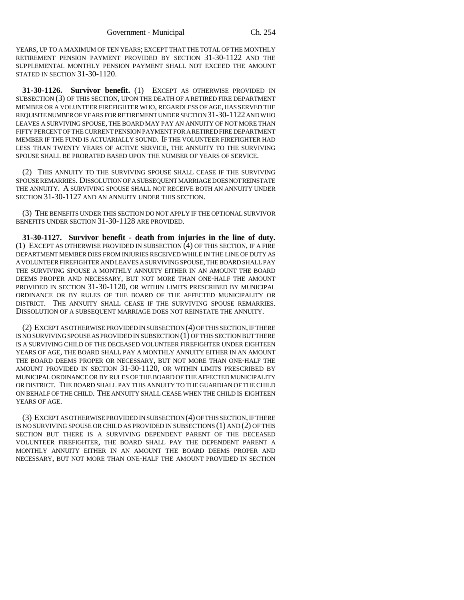YEARS, UP TO A MAXIMUM OF TEN YEARS; EXCEPT THAT THE TOTAL OF THE MONTHLY RETIREMENT PENSION PAYMENT PROVIDED BY SECTION 31-30-1122 AND THE SUPPLEMENTAL MONTHLY PENSION PAYMENT SHALL NOT EXCEED THE AMOUNT STATED IN SECTION 31-30-1120.

**31-30-1126. Survivor benefit.** (1) EXCEPT AS OTHERWISE PROVIDED IN SUBSECTION (3) OF THIS SECTION, UPON THE DEATH OF A RETIRED FIRE DEPARTMENT MEMBER OR A VOLUNTEER FIREFIGHTER WHO, REGARDLESS OF AGE, HAS SERVED THE REQUISITE NUMBER OF YEARS FOR RETIREMENT UNDER SECTION 31-30-1122 AND WHO LEAVES A SURVIVING SPOUSE, THE BOARD MAY PAY AN ANNUITY OF NOT MORE THAN FIFTY PERCENT OF THE CURRENT PENSION PAYMENT FOR A RETIRED FIRE DEPARTMENT MEMBER IF THE FUND IS ACTUARIALLY SOUND. IF THE VOLUNTEER FIREFIGHTER HAD LESS THAN TWENTY YEARS OF ACTIVE SERVICE, THE ANNUITY TO THE SURVIVING SPOUSE SHALL BE PRORATED BASED UPON THE NUMBER OF YEARS OF SERVICE.

(2) THIS ANNUITY TO THE SURVIVING SPOUSE SHALL CEASE IF THE SURVIVING SPOUSE REMARRIES. DISSOLUTION OF A SUBSEQUENT MARRIAGE DOES NOT REINSTATE THE ANNUITY. A SURVIVING SPOUSE SHALL NOT RECEIVE BOTH AN ANNUITY UNDER SECTION 31-30-1127 AND AN ANNUITY UNDER THIS SECTION.

(3) THE BENEFITS UNDER THIS SECTION DO NOT APPLY IF THE OPTIONAL SURVIVOR BENEFITS UNDER SECTION 31-30-1128 ARE PROVIDED.

**31-30-1127. Survivor benefit - death from injuries in the line of duty.** (1) EXCEPT AS OTHERWISE PROVIDED IN SUBSECTION (4) OF THIS SECTION, IF A FIRE DEPARTMENT MEMBER DIES FROM INJURIES RECEIVED WHILE IN THE LINE OF DUTY AS A VOLUNTEER FIREFIGHTER AND LEAVES A SURVIVING SPOUSE, THE BOARD SHALL PAY THE SURVIVING SPOUSE A MONTHLY ANNUITY EITHER IN AN AMOUNT THE BOARD DEEMS PROPER AND NECESSARY, BUT NOT MORE THAN ONE-HALF THE AMOUNT PROVIDED IN SECTION 31-30-1120, OR WITHIN LIMITS PRESCRIBED BY MUNICIPAL ORDINANCE OR BY RULES OF THE BOARD OF THE AFFECTED MUNICIPALITY OR DISTRICT. THE ANNUITY SHALL CEASE IF THE SURVIVING SPOUSE REMARRIES. DISSOLUTION OF A SUBSEQUENT MARRIAGE DOES NOT REINSTATE THE ANNUITY.

(2) EXCEPT AS OTHERWISE PROVIDED IN SUBSECTION (4) OF THIS SECTION, IF THERE IS NO SURVIVING SPOUSE AS PROVIDED IN SUBSECTION (1) OF THIS SECTION BUT THERE IS A SURVIVING CHILD OF THE DECEASED VOLUNTEER FIREFIGHTER UNDER EIGHTEEN YEARS OF AGE, THE BOARD SHALL PAY A MONTHLY ANNUITY EITHER IN AN AMOUNT THE BOARD DEEMS PROPER OR NECESSARY, BUT NOT MORE THAN ONE-HALF THE AMOUNT PROVIDED IN SECTION 31-30-1120, OR WITHIN LIMITS PRESCRIBED BY MUNICIPAL ORDINANCE OR BY RULES OF THE BOARD OF THE AFFECTED MUNICIPALITY OR DISTRICT. THE BOARD SHALL PAY THIS ANNUITY TO THE GUARDIAN OF THE CHILD ON BEHALF OF THE CHILD. THE ANNUITY SHALL CEASE WHEN THE CHILD IS EIGHTEEN YEARS OF AGE.

(3) EXCEPT AS OTHERWISE PROVIDED IN SUBSECTION (4) OF THIS SECTION, IF THERE IS NO SURVIVING SPOUSE OR CHILD AS PROVIDED IN SUBSECTIONS (1) AND (2) OF THIS SECTION BUT THERE IS A SURVIVING DEPENDENT PARENT OF THE DECEASED VOLUNTEER FIREFIGHTER, THE BOARD SHALL PAY THE DEPENDENT PARENT A MONTHLY ANNUITY EITHER IN AN AMOUNT THE BOARD DEEMS PROPER AND NECESSARY, BUT NOT MORE THAN ONE-HALF THE AMOUNT PROVIDED IN SECTION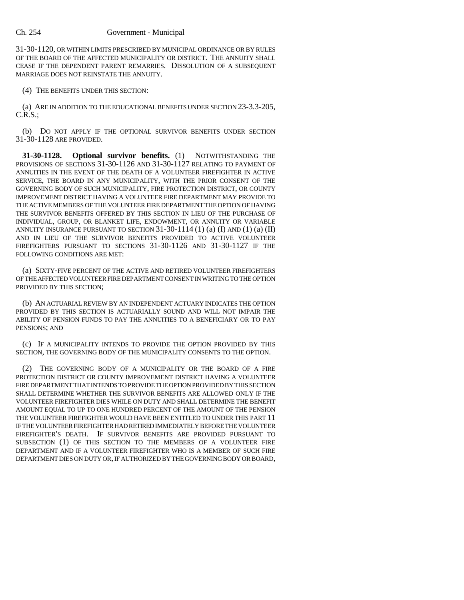31-30-1120, OR WITHIN LIMITS PRESCRIBED BY MUNICIPAL ORDINANCE OR BY RULES OF THE BOARD OF THE AFFECTED MUNICIPALITY OR DISTRICT. THE ANNUITY SHALL CEASE IF THE DEPENDENT PARENT REMARRIES. DISSOLUTION OF A SUBSEQUENT MARRIAGE DOES NOT REINSTATE THE ANNUITY.

(4) THE BENEFITS UNDER THIS SECTION:

(a) ARE IN ADDITION TO THE EDUCATIONAL BENEFITS UNDER SECTION 23-3.3-205, C.R.S.;

(b) DO NOT APPLY IF THE OPTIONAL SURVIVOR BENEFITS UNDER SECTION 31-30-1128 ARE PROVIDED.

**31-30-1128. Optional survivor benefits.** (1) NOTWITHSTANDING THE PROVISIONS OF SECTIONS 31-30-1126 AND 31-30-1127 RELATING TO PAYMENT OF ANNUITIES IN THE EVENT OF THE DEATH OF A VOLUNTEER FIREFIGHTER IN ACTIVE SERVICE, THE BOARD IN ANY MUNICIPALITY, WITH THE PRIOR CONSENT OF THE GOVERNING BODY OF SUCH MUNICIPALITY, FIRE PROTECTION DISTRICT, OR COUNTY IMPROVEMENT DISTRICT HAVING A VOLUNTEER FIRE DEPARTMENT MAY PROVIDE TO THE ACTIVE MEMBERS OF THE VOLUNTEER FIRE DEPARTMENT THE OPTION OF HAVING THE SURVIVOR BENEFITS OFFERED BY THIS SECTION IN LIEU OF THE PURCHASE OF INDIVIDUAL, GROUP, OR BLANKET LIFE, ENDOWMENT, OR ANNUITY OR VARIABLE ANNUITY INSURANCE PURSUANT TO SECTION  $31-30-1114$  (1) (a) (I) AND (1) (a) (II) AND IN LIEU OF THE SURVIVOR BENEFITS PROVIDED TO ACTIVE VOLUNTEER FIREFIGHTERS PURSUANT TO SECTIONS 31-30-1126 AND 31-30-1127 IF THE FOLLOWING CONDITIONS ARE MET:

(a) SIXTY-FIVE PERCENT OF THE ACTIVE AND RETIRED VOLUNTEER FIREFIGHTERS OF THE AFFECTED VOLUNTEER FIRE DEPARTMENT CONSENT IN WRITING TO THE OPTION PROVIDED BY THIS SECTION;

(b) AN ACTUARIAL REVIEW BY AN INDEPENDENT ACTUARY INDICATES THE OPTION PROVIDED BY THIS SECTION IS ACTUARIALLY SOUND AND WILL NOT IMPAIR THE ABILITY OF PENSION FUNDS TO PAY THE ANNUITIES TO A BENEFICIARY OR TO PAY PENSIONS; AND

(c) IF A MUNICIPALITY INTENDS TO PROVIDE THE OPTION PROVIDED BY THIS SECTION, THE GOVERNING BODY OF THE MUNICIPALITY CONSENTS TO THE OPTION.

(2) THE GOVERNING BODY OF A MUNICIPALITY OR THE BOARD OF A FIRE PROTECTION DISTRICT OR COUNTY IMPROVEMENT DISTRICT HAVING A VOLUNTEER FIRE DEPARTMENT THAT INTENDS TO PROVIDE THE OPTION PROVIDED BY THIS SECTION SHALL DETERMINE WHETHER THE SURVIVOR BENEFITS ARE ALLOWED ONLY IF THE VOLUNTEER FIREFIGHTER DIES WHILE ON DUTY AND SHALL DETERMINE THE BENEFIT AMOUNT EQUAL TO UP TO ONE HUNDRED PERCENT OF THE AMOUNT OF THE PENSION THE VOLUNTEER FIREFIGHTER WOULD HAVE BEEN ENTITLED TO UNDER THIS PART 11 IF THE VOLUNTEER FIREFIGHTER HAD RETIRED IMMEDIATELY BEFORE THE VOLUNTEER FIREFIGHTER'S DEATH. IF SURVIVOR BENEFITS ARE PROVIDED PURSUANT TO SUBSECTION (1) OF THIS SECTION TO THE MEMBERS OF A VOLUNTEER FIRE DEPARTMENT AND IF A VOLUNTEER FIREFIGHTER WHO IS A MEMBER OF SUCH FIRE DEPARTMENT DIES ON DUTY OR, IF AUTHORIZED BY THE GOVERNING BODY OR BOARD,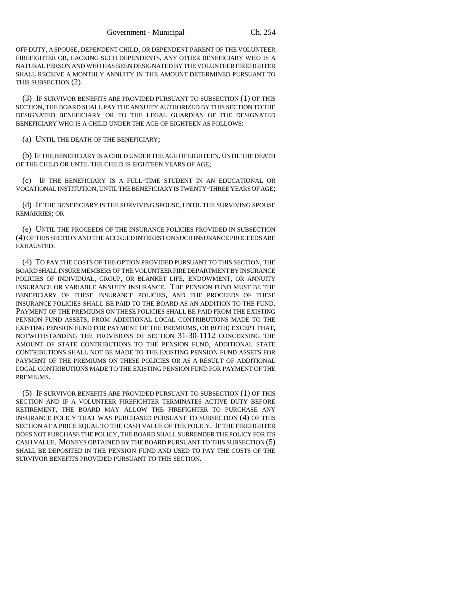OFF DUTY, A SPOUSE, DEPENDENT CHILD, OR DEPENDENT PARENT OF THE VOLUNTEER FIREFIGHTER OR, LACKING SUCH DEPENDENTS, ANY OTHER BENEFICIARY WHO IS A NATURAL PERSON AND WHO HAS BEEN DESIGNATED BY THE VOLUNTEER FIREFIGHTER SHALL RECEIVE A MONTHLY ANNUITY IN THE AMOUNT DETERMINED PURSUANT TO THIS SUBSECTION (2).

(3) IF SURVIVOR BENEFITS ARE PROVIDED PURSUANT TO SUBSECTION (1) OF THIS SECTION, THE BOARD SHALL PAY THE ANNUITY AUTHORIZED BY THIS SECTION TO THE DESIGNATED BENEFICIARY OR TO THE LEGAL GUARDIAN OF THE DESIGNATED BENEFICIARY WHO IS A CHILD UNDER THE AGE OF EIGHTEEN AS FOLLOWS:

(a) UNTIL THE DEATH OF THE BENEFICIARY;

(b) IF THE BENEFICIARY IS A CHILD UNDER THE AGE OF EIGHTEEN, UNTIL THE DEATH OF THE CHILD OR UNTIL THE CHILD IS EIGHTEEN YEARS OF AGE;

(c) IF THE BENEFICIARY IS A FULL-TIME STUDENT IN AN EDUCATIONAL OR VOCATIONAL INSTITUTION, UNTIL THE BENEFICIARY IS TWENTY-THREE YEARS OF AGE;

(d) IF THE BENEFICIARY IS THE SURVIVING SPOUSE, UNTIL THE SURVIVING SPOUSE REMARRIES; OR

(e) UNTIL THE PROCEEDS OF THE INSURANCE POLICIES PROVIDED IN SUBSECTION (4) OF THIS SECTION AND THE ACCRUED INTEREST ON SUCH INSURANCE PROCEEDS ARE EXHAUSTED.

(4) TO PAY THE COSTS OF THE OPTION PROVIDED PURSUANT TO THIS SECTION, THE BOARD SHALL INSURE MEMBERS OF THE VOLUNTEER FIRE DEPARTMENT BY INSURANCE POLICIES OF INDIVIDUAL, GROUP, OR BLANKET LIFE, ENDOWMENT, OR ANNUITY INSURANCE OR VARIABLE ANNUITY INSURANCE. THE PENSION FUND MUST BE THE BENEFICIARY OF THESE INSURANCE POLICIES, AND THE PROCEEDS OF THESE INSURANCE POLICIES SHALL BE PAID TO THE BOARD AS AN ADDITION TO THE FUND. PAYMENT OF THE PREMIUMS ON THESE POLICIES SHALL BE PAID FROM THE EXISTING PENSION FUND ASSETS, FROM ADDITIONAL LOCAL CONTRIBUTIONS MADE TO THE EXISTING PENSION FUND FOR PAYMENT OF THE PREMIUMS, OR BOTH; EXCEPT THAT, NOTWITHSTANDING THE PROVISIONS OF SECTION 31-30-1112 CONCERNING THE AMOUNT OF STATE CONTRIBUTIONS TO THE PENSION FUND, ADDITIONAL STATE CONTRIBUTIONS SHALL NOT BE MADE TO THE EXISTING PENSION FUND ASSETS FOR PAYMENT OF THE PREMIUMS ON THESE POLICIES OR AS A RESULT OF ADDITIONAL LOCAL CONTRIBUTIONS MADE TO THE EXISTING PENSION FUND FOR PAYMENT OF THE PREMIUMS.

(5) IF SURVIVOR BENEFITS ARE PROVIDED PURSUANT TO SUBSECTION (1) OF THIS SECTION AND IF A VOLUNTEER FIREFIGHTER TERMINATES ACTIVE DUTY BEFORE RETIREMENT, THE BOARD MAY ALLOW THE FIREFIGHTER TO PURCHASE ANY INSURANCE POLICY THAT WAS PURCHASED PURSUANT TO SUBSECTION (4) OF THIS SECTION AT A PRICE EQUAL TO THE CASH VALUE OF THE POLICY. IF THE FIREFIGHTER DOES NOT PURCHASE THE POLICY, THE BOARD SHALL SURRENDER THE POLICY FOR ITS CASH VALUE. MONEYS OBTAINED BY THE BOARD PURSUANT TO THIS SUBSECTION (5) SHALL BE DEPOSITED IN THE PENSION FUND AND USED TO PAY THE COSTS OF THE SURVIVOR BENEFITS PROVIDED PURSUANT TO THIS SECTION.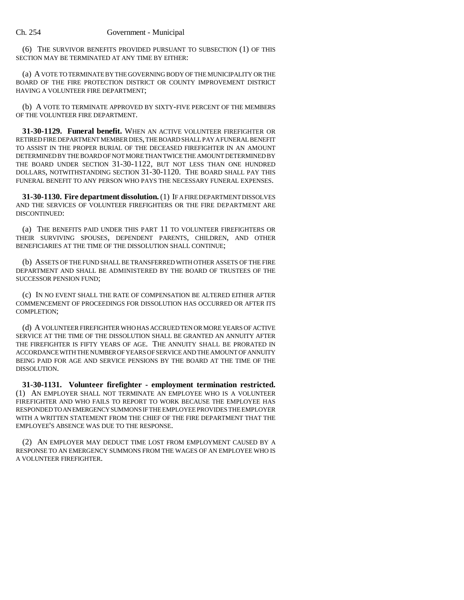(6) THE SURVIVOR BENEFITS PROVIDED PURSUANT TO SUBSECTION (1) OF THIS SECTION MAY BE TERMINATED AT ANY TIME BY EITHER:

(a) A VOTE TO TERMINATE BY THE GOVERNING BODY OF THE MUNICIPALITY OR THE BOARD OF THE FIRE PROTECTION DISTRICT OR COUNTY IMPROVEMENT DISTRICT HAVING A VOLUNTEER FIRE DEPARTMENT;

(b) A VOTE TO TERMINATE APPROVED BY SIXTY-FIVE PERCENT OF THE MEMBERS OF THE VOLUNTEER FIRE DEPARTMENT.

**31-30-1129. Funeral benefit.** WHEN AN ACTIVE VOLUNTEER FIREFIGHTER OR RETIRED FIRE DEPARTMENT MEMBER DIES, THE BOARD SHALL PAY A FUNERAL BENEFIT TO ASSIST IN THE PROPER BURIAL OF THE DECEASED FIREFIGHTER IN AN AMOUNT DETERMINED BY THE BOARD OF NOT MORE THAN TWICE THE AMOUNT DETERMINED BY THE BOARD UNDER SECTION 31-30-1122, BUT NOT LESS THAN ONE HUNDRED DOLLARS, NOTWITHSTANDING SECTION 31-30-1120. THE BOARD SHALL PAY THIS FUNERAL BENEFIT TO ANY PERSON WHO PAYS THE NECESSARY FUNERAL EXPENSES.

**31-30-1130. Fire department dissolution.** (1) IF A FIRE DEPARTMENT DISSOLVES AND THE SERVICES OF VOLUNTEER FIREFIGHTERS OR THE FIRE DEPARTMENT ARE DISCONTINUED:

(a) THE BENEFITS PAID UNDER THIS PART 11 TO VOLUNTEER FIREFIGHTERS OR THEIR SURVIVING SPOUSES, DEPENDENT PARENTS, CHILDREN, AND OTHER BENEFICIARIES AT THE TIME OF THE DISSOLUTION SHALL CONTINUE;

(b) ASSETS OF THE FUND SHALL BE TRANSFERRED WITH OTHER ASSETS OF THE FIRE DEPARTMENT AND SHALL BE ADMINISTERED BY THE BOARD OF TRUSTEES OF THE SUCCESSOR PENSION FUND;

(c) IN NO EVENT SHALL THE RATE OF COMPENSATION BE ALTERED EITHER AFTER COMMENCEMENT OF PROCEEDINGS FOR DISSOLUTION HAS OCCURRED OR AFTER ITS COMPLETION;

(d) A VOLUNTEER FIREFIGHTER WHO HAS ACCRUED TEN OR MORE YEARS OF ACTIVE SERVICE AT THE TIME OF THE DISSOLUTION SHALL BE GRANTED AN ANNUITY AFTER THE FIREFIGHTER IS FIFTY YEARS OF AGE. THE ANNUITY SHALL BE PRORATED IN ACCORDANCE WITH THE NUMBER OF YEARS OF SERVICE AND THE AMOUNT OF ANNUITY BEING PAID FOR AGE AND SERVICE PENSIONS BY THE BOARD AT THE TIME OF THE DISSOLUTION.

**31-30-1131. Volunteer firefighter - employment termination restricted.** (1) AN EMPLOYER SHALL NOT TERMINATE AN EMPLOYEE WHO IS A VOLUNTEER FIREFIGHTER AND WHO FAILS TO REPORT TO WORK BECAUSE THE EMPLOYEE HAS RESPONDED TO AN EMERGENCY SUMMONS IF THE EMPLOYEE PROVIDES THE EMPLOYER WITH A WRITTEN STATEMENT FROM THE CHIEF OF THE FIRE DEPARTMENT THAT THE EMPLOYEE'S ABSENCE WAS DUE TO THE RESPONSE.

(2) AN EMPLOYER MAY DEDUCT TIME LOST FROM EMPLOYMENT CAUSED BY A RESPONSE TO AN EMERGENCY SUMMONS FROM THE WAGES OF AN EMPLOYEE WHO IS A VOLUNTEER FIREFIGHTER.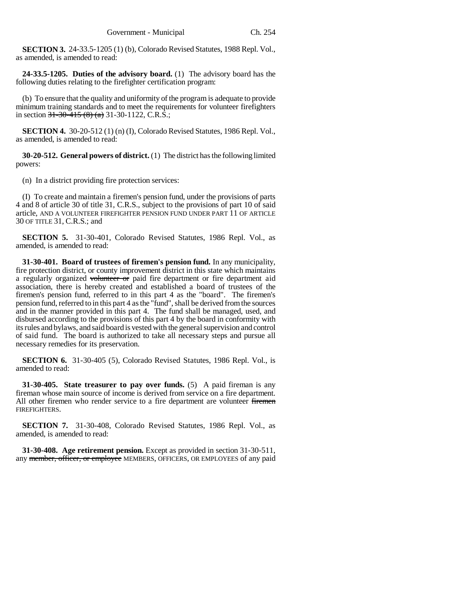**SECTION 3.** 24-33.5-1205 (1) (b), Colorado Revised Statutes, 1988 Repl. Vol., as amended, is amended to read:

**24-33.5-1205. Duties of the advisory board.** (1) The advisory board has the following duties relating to the firefighter certification program:

(b) To ensure that the quality and uniformity of the program is adequate to provide minimum training standards and to meet the requirements for volunteer firefighters in section  $31-30-415(8)$  (a) 31-30-1122, C.R.S.;

**SECTION 4.** 30-20-512 (1) (n) (I), Colorado Revised Statutes, 1986 Repl. Vol., as amended, is amended to read:

**30-20-512. General powers of district.** (1) The district has the following limited powers:

(n) In a district providing fire protection services:

(I) To create and maintain a firemen's pension fund, under the provisions of parts 4 and 8 of article 30 of title 31, C.R.S., subject to the provisions of part 10 of said article, AND A VOLUNTEER FIREFIGHTER PENSION FUND UNDER PART 11 OF ARTICLE 30 OF TITLE 31, C.R.S.; and

**SECTION 5.** 31-30-401, Colorado Revised Statutes, 1986 Repl. Vol., as amended, is amended to read:

**31-30-401. Board of trustees of firemen's pension fund.** In any municipality, fire protection district, or county improvement district in this state which maintains a regularly organized volunteer or paid fire department or fire department aid association, there is hereby created and established a board of trustees of the firemen's pension fund, referred to in this part 4 as the "board". The firemen's pension fund, referred to in this part 4 as the "fund", shall be derived from the sources and in the manner provided in this part 4. The fund shall be managed, used, and disbursed according to the provisions of this part 4 by the board in conformity with its rules and bylaws, and said board is vested with the general supervision and control of said fund. The board is authorized to take all necessary steps and pursue all necessary remedies for its preservation.

**SECTION 6.** 31-30-405 (5), Colorado Revised Statutes, 1986 Repl. Vol., is amended to read:

**31-30-405. State treasurer to pay over funds.** (5) A paid fireman is any fireman whose main source of income is derived from service on a fire department. All other firemen who render service to a fire department are volunteer firemen FIREFIGHTERS.

**SECTION 7.** 31-30-408, Colorado Revised Statutes, 1986 Repl. Vol., as amended, is amended to read:

**31-30-408. Age retirement pension.** Except as provided in section 31-30-511, any member, officer, or employee MEMBERS, OFFICERS, OR EMPLOYEES of any paid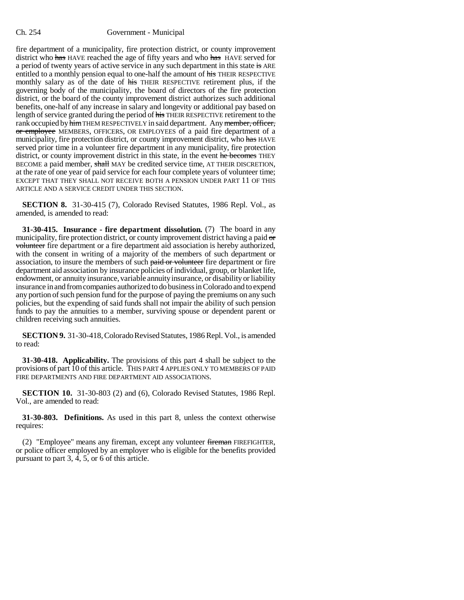fire department of a municipality, fire protection district, or county improvement district who has HAVE reached the age of fifty years and who has HAVE served for a period of twenty years of active service in any such department in this state is ARE entitled to a monthly pension equal to one-half the amount of his THEIR RESPECTIVE monthly salary as of the date of his THEIR RESPECTIVE retirement plus, if the governing body of the municipality, the board of directors of the fire protection district, or the board of the county improvement district authorizes such additional benefits, one-half of any increase in salary and longevity or additional pay based on length of service granted during the period of his THEIR RESPECTIVE retirement to the rank occupied by him THEM RESPECTIVELY in said department. Any member, officer, or employee MEMBERS, OFFICERS, OR EMPLOYEES of a paid fire department of a municipality, fire protection district, or county improvement district, who has HAVE served prior time in a volunteer fire department in any municipality, fire protection district, or county improvement district in this state, in the event he becomes THEY BECOME a paid member, shall MAY be credited service time, AT THEIR DISCRETION, at the rate of one year of paid service for each four complete years of volunteer time; EXCEPT THAT THEY SHALL NOT RECEIVE BOTH A PENSION UNDER PART 11 OF THIS ARTICLE AND A SERVICE CREDIT UNDER THIS SECTION.

**SECTION 8.** 31-30-415 (7), Colorado Revised Statutes, 1986 Repl. Vol., as amended, is amended to read:

**31-30-415. Insurance - fire department dissolution.** (7) The board in any municipality, fire protection district, or county improvement district having a paid or volunteer fire department or a fire department aid association is hereby authorized, with the consent in writing of a majority of the members of such department or association, to insure the members of such paid or volunteer fire department or fire department aid association by insurance policies of individual, group, or blanket life, endowment, or annuity insurance, variable annuity insurance, or disability or liability insurance in and from companies authorized to do business in Colorado and to expend any portion of such pension fund for the purpose of paying the premiums on any such policies, but the expending of said funds shall not impair the ability of such pension funds to pay the annuities to a member, surviving spouse or dependent parent or children receiving such annuities.

**SECTION 9.** 31-30-418, Colorado Revised Statutes, 1986 Repl. Vol., is amended to read:

**31-30-418. Applicability.** The provisions of this part 4 shall be subject to the provisions of part 10 of this article. THIS PART 4 APPLIES ONLY TO MEMBERS OF PAID FIRE DEPARTMENTS AND FIRE DEPARTMENT AID ASSOCIATIONS.

**SECTION 10.** 31-30-803 (2) and (6), Colorado Revised Statutes, 1986 Repl. Vol., are amended to read:

**31-30-803. Definitions.** As used in this part 8, unless the context otherwise requires:

(2) "Employee" means any fireman, except any volunteer fireman FIREFIGHTER, or police officer employed by an employer who is eligible for the benefits provided pursuant to part 3, 4, 5, or 6 of this article.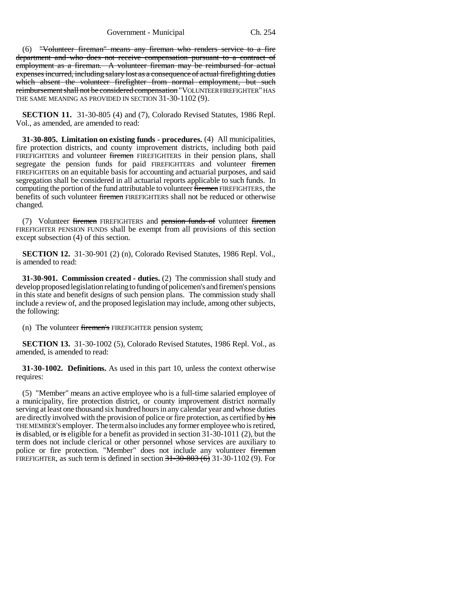Government - Municipal Ch. 254

(6) "Volunteer fireman" means any fireman who renders service to a fire department and who does not receive compensation pursuant to a contract of employment as a fireman. A volunteer fireman may be reimbursed for actual expenses incurred, including salary lost as a consequence of actual firefighting duties which absent the volunteer firefighter from normal employment, but such reimbursement shall not be considered compensation "VOLUNTEER FIREFIGHTER" HAS THE SAME MEANING AS PROVIDED IN SECTION 31-30-1102 (9).

**SECTION 11.** 31-30-805 (4) and (7), Colorado Revised Statutes, 1986 Repl. Vol., as amended, are amended to read:

**31-30-805. Limitation on existing funds - procedures.** (4) All municipalities, fire protection districts, and county improvement districts, including both paid FIREFIGHTERS and volunteer firemen FIREFIGHTERS in their pension plans, shall segregate the pension funds for paid FIREFIGHTERS and volunteer firemen FIREFIGHTERS on an equitable basis for accounting and actuarial purposes, and said segregation shall be considered in all actuarial reports applicable to such funds. In computing the portion of the fund attributable to volunteer firemen FIREFIGHTERS, the benefits of such volunteer firemen FIREFIGHTERS shall not be reduced or otherwise changed.

(7) Volunteer firemen FIREFIGHTERS and pension funds of volunteer firemen FIREFIGHTER PENSION FUNDS shall be exempt from all provisions of this section except subsection (4) of this section.

**SECTION 12.** 31-30-901 (2) (n), Colorado Revised Statutes, 1986 Repl. Vol., is amended to read:

**31-30-901. Commission created - duties.** (2) The commission shall study and develop proposed legislation relating to funding of policemen's and firemen's pensions in this state and benefit designs of such pension plans. The commission study shall include a review of, and the proposed legislation may include, among other subjects, the following:

(n) The volunteer firemen's FIREFIGHTER pension system;

**SECTION 13.** 31-30-1002 (5), Colorado Revised Statutes, 1986 Repl. Vol., as amended, is amended to read:

**31-30-1002. Definitions.** As used in this part 10, unless the context otherwise requires:

(5) "Member" means an active employee who is a full-time salaried employee of a municipality, fire protection district, or county improvement district normally serving at least one thousand six hundred hours in any calendar year and whose duties are directly involved with the provision of police or fire protection, as certified by his THE MEMBER'S employer. The term also includes any former employee who is retired, is disabled, or is eligible for a benefit as provided in section 31-30-1011 (2), but the term does not include clerical or other personnel whose services are auxiliary to police or fire protection. "Member" does not include any volunteer fireman FIREFIGHTER, as such term is defined in section  $31-30-803$  (6) 31-30-1102 (9). For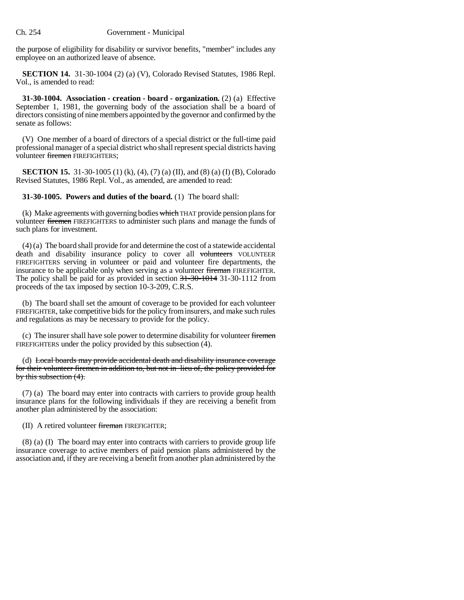the purpose of eligibility for disability or survivor benefits, "member" includes any employee on an authorized leave of absence.

**SECTION 14.** 31-30-1004 (2) (a) (V), Colorado Revised Statutes, 1986 Repl. Vol., is amended to read:

**31-30-1004. Association - creation - board - organization.** (2) (a) Effective September 1, 1981, the governing body of the association shall be a board of directors consisting of nine members appointed by the governor and confirmed by the senate as follows:

(V) One member of a board of directors of a special district or the full-time paid professional manager of a special district who shall represent special districts having volunteer firemen FIREFIGHTERS;

**SECTION 15.** 31-30-1005 (1) (k), (4), (7) (a) (II), and (8) (a) (I) (B), Colorado Revised Statutes, 1986 Repl. Vol., as amended, are amended to read:

**31-30-1005. Powers and duties of the board.** (1) The board shall:

(k) Make agreements with governing bodies which THAT provide pension plans for volunteer firemen FIREFIGHTERS to administer such plans and manage the funds of such plans for investment.

(4) (a) The board shall provide for and determine the cost of a statewide accidental death and disability insurance policy to cover all volunteers VOLUNTEER FIREFIGHTERS serving in volunteer or paid and volunteer fire departments, the insurance to be applicable only when serving as a volunteer fireman FIREFIGHTER. The policy shall be paid for as provided in section 31-30-1014 31-30-1112 from proceeds of the tax imposed by section 10-3-209, C.R.S.

(b) The board shall set the amount of coverage to be provided for each volunteer FIREFIGHTER, take competitive bids for the policy from insurers, and make such rules and regulations as may be necessary to provide for the policy.

(c) The insurer shall have sole power to determine disability for volunteer firemen FIREFIGHTERS under the policy provided by this subsection (4).

(d) Local boards may provide accidental death and disability insurance coverage for their volunteer firemen in addition to, but not in lieu of, the policy provided for by this subsection (4).

(7) (a) The board may enter into contracts with carriers to provide group health insurance plans for the following individuals if they are receiving a benefit from another plan administered by the association:

(II) A retired volunteer fireman FIREFIGHTER;

(8) (a) (I) The board may enter into contracts with carriers to provide group life insurance coverage to active members of paid pension plans administered by the association and, if they are receiving a benefit from another plan administered by the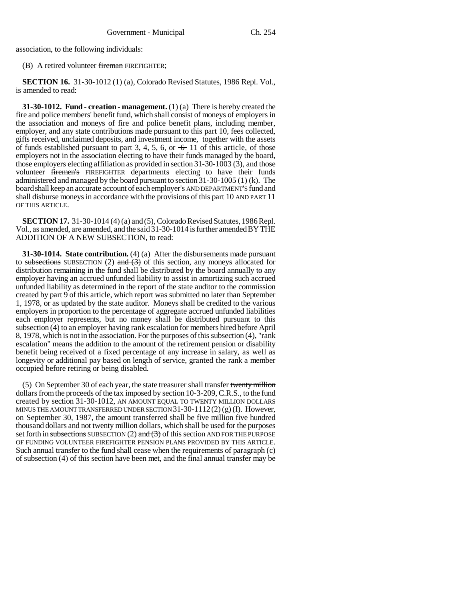association, to the following individuals:

(B) A retired volunteer fireman FIREFIGHTER;

**SECTION 16.** 31-30-1012 (1) (a), Colorado Revised Statutes, 1986 Repl. Vol., is amended to read:

**31-30-1012. Fund - creation - management.** (1) (a) There is hereby created the fire and police members' benefit fund, which shall consist of moneys of employers in the association and moneys of fire and police benefit plans, including member, employer, and any state contributions made pursuant to this part 10, fees collected, gifts received, unclaimed deposits, and investment income, together with the assets of funds established pursuant to part 3, 4, 5, 6, or  $\div$  11 of this article, of those employers not in the association electing to have their funds managed by the board, those employers electing affiliation as provided in section 31-30-1003 (3), and those volunteer firemen's FIREFIGHTER departments electing to have their funds administered and managed by the board pursuant to section 31-30-1005 (1) (k). The board shall keep an accurate account of each employer's AND DEPARTMENT'S fund and shall disburse moneys in accordance with the provisions of this part 10 AND PART 11 OF THIS ARTICLE.

**SECTION 17.** 31-30-1014 (4) (a) and (5), Colorado Revised Statutes, 1986 Repl. Vol., as amended, are amended, and the said 31-30-1014 is further amended BY THE ADDITION OF A NEW SUBSECTION, to read:

**31-30-1014. State contribution.** (4) (a) After the disbursements made pursuant to subsections SUBSECTION (2) and  $(3)$  of this section, any moneys allocated for distribution remaining in the fund shall be distributed by the board annually to any employer having an accrued unfunded liability to assist in amortizing such accrued unfunded liability as determined in the report of the state auditor to the commission created by part 9 of this article, which report was submitted no later than September 1, 1978, or as updated by the state auditor. Moneys shall be credited to the various employers in proportion to the percentage of aggregate accrued unfunded liabilities each employer represents, but no money shall be distributed pursuant to this subsection (4) to an employer having rank escalation for members hired before April 8, 1978, which is not in the association. For the purposes of this subsection (4), "rank escalation" means the addition to the amount of the retirement pension or disability benefit being received of a fixed percentage of any increase in salary, as well as longevity or additional pay based on length of service, granted the rank a member occupied before retiring or being disabled.

(5) On September 30 of each year, the state treasurer shall transfer twenty million dollars from the proceeds of the tax imposed by section 10-3-209, C.R.S., to the fund created by section 31-30-1012, AN AMOUNT EQUAL TO TWENTY MILLION DOLLARS MINUS THE AMOUNT TRANSFERRED UNDER SECTION  $31-30-1112(2)(g)$  (I). However, on September 30, 1987, the amount transferred shall be five million five hundred thousand dollars and not twenty million dollars, which shall be used for the purposes set forth in subsections SUBSECTION (2) and  $(3)$  of this section AND FOR THE PURPOSE OF FUNDING VOLUNTEER FIREFIGHTER PENSION PLANS PROVIDED BY THIS ARTICLE. Such annual transfer to the fund shall cease when the requirements of paragraph (c) of subsection (4) of this section have been met, and the final annual transfer may be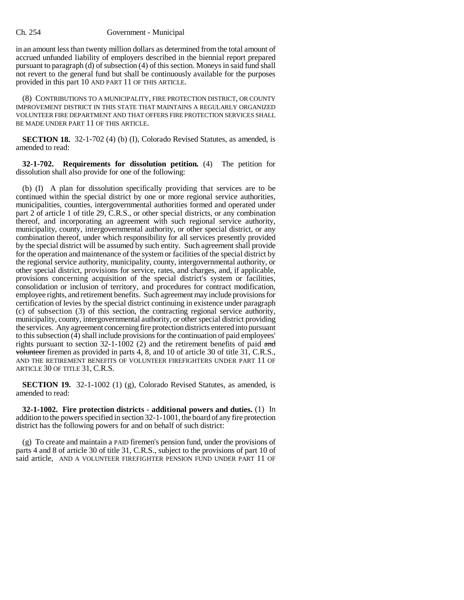in an amount less than twenty million dollars as determined from the total amount of accrued unfunded liability of employers described in the biennial report prepared pursuant to paragraph (d) of subsection (4) of this section. Moneys in said fund shall not revert to the general fund but shall be continuously available for the purposes provided in this part 10 AND PART 11 OF THIS ARTICLE.

(8) CONTRIBUTIONS TO A MUNICIPALITY, FIRE PROTECTION DISTRICT, OR COUNTY IMPROVEMENT DISTRICT IN THIS STATE THAT MAINTAINS A REGULARLY ORGANIZED VOLUNTEER FIRE DEPARTMENT AND THAT OFFERS FIRE PROTECTION SERVICES SHALL BE MADE UNDER PART 11 OF THIS ARTICLE.

**SECTION 18.** 32-1-702 (4) (b) (I), Colorado Revised Statutes, as amended, is amended to read:

**32-1-702. Requirements for dissolution petition.** (4) The petition for dissolution shall also provide for one of the following:

(b) (I) A plan for dissolution specifically providing that services are to be continued within the special district by one or more regional service authorities, municipalities, counties, intergovernmental authorities formed and operated under part 2 of article 1 of title 29, C.R.S., or other special districts, or any combination thereof, and incorporating an agreement with such regional service authority, municipality, county, intergovernmental authority, or other special district, or any combination thereof, under which responsibility for all services presently provided by the special district will be assumed by such entity. Such agreement shall provide for the operation and maintenance of the system or facilities of the special district by the regional service authority, municipality, county, intergovernmental authority, or other special district, provisions for service, rates, and charges, and, if applicable, provisions concerning acquisition of the special district's system or facilities, consolidation or inclusion of territory, and procedures for contract modification, employee rights, and retirement benefits. Such agreement may include provisions for certification of levies by the special district continuing in existence under paragraph (c) of subsection (3) of this section, the contracting regional service authority, municipality, county, intergovernmental authority, or other special district providing the services. Any agreement concerning fire protection districts entered into pursuant to this subsection (4) shall include provisions for the continuation of paid employees' rights pursuant to section 32-1-1002 (2) and the retirement benefits of paid and volunteer firemen as provided in parts 4, 8, and 10 of article 30 of title 31, C.R.S., AND THE RETIREMENT BENEFITS OF VOLUNTEER FIREFIGHTERS UNDER PART 11 OF ARTICLE 30 OF TITLE 31, C.R.S.

**SECTION 19.** 32-1-1002 (1) (g), Colorado Revised Statutes, as amended, is amended to read:

**32-1-1002. Fire protection districts - additional powers and duties.** (1) In addition to the powers specified in section 32-1-1001, the board of any fire protection district has the following powers for and on behalf of such district:

(g) To create and maintain a PAID firemen's pension fund, under the provisions of parts 4 and 8 of article 30 of title 31, C.R.S., subject to the provisions of part 10 of said article, AND A VOLUNTEER FIREFIGHTER PENSION FUND UNDER PART 11 OF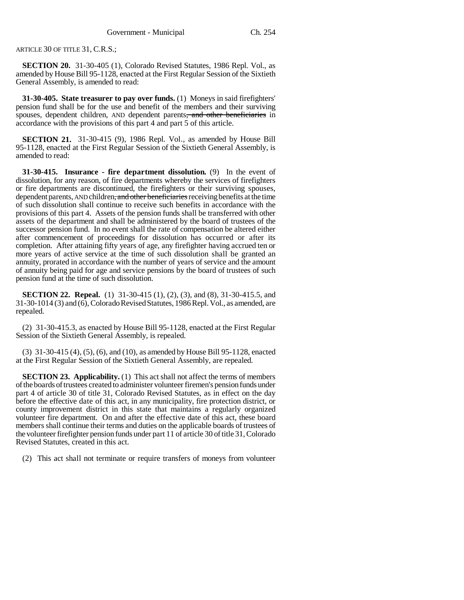ARTICLE 30 OF TITLE 31, C.R.S.;

**SECTION 20.** 31-30-405 (1), Colorado Revised Statutes, 1986 Repl. Vol., as amended by House Bill 95-1128, enacted at the First Regular Session of the Sixtieth General Assembly, is amended to read:

**31-30-405. State treasurer to pay over funds.** (1) Moneys in said firefighters' pension fund shall be for the use and benefit of the members and their surviving spouses, dependent children, AND dependent parents<del>, and other beneficiaries</del> in accordance with the provisions of this part 4 and part 5 of this article.

**SECTION 21.** 31-30-415 (9), 1986 Repl. Vol., as amended by House Bill 95-1128, enacted at the First Regular Session of the Sixtieth General Assembly, is amended to read:

**31-30-415. Insurance - fire department dissolution.** (9) In the event of dissolution, for any reason, of fire departments whereby the services of firefighters or fire departments are discontinued, the firefighters or their surviving spouses, dependent parents, AND children<del>, and other beneficiaries</del> receiving benefits at the time of such dissolution shall continue to receive such benefits in accordance with the provisions of this part 4. Assets of the pension funds shall be transferred with other assets of the department and shall be administered by the board of trustees of the successor pension fund. In no event shall the rate of compensation be altered either after commencement of proceedings for dissolution has occurred or after its completion. After attaining fifty years of age, any firefighter having accrued ten or more years of active service at the time of such dissolution shall be granted an annuity, prorated in accordance with the number of years of service and the amount of annuity being paid for age and service pensions by the board of trustees of such pension fund at the time of such dissolution.

**SECTION 22. Repeal.** (1) 31-30-415 (1), (2), (3), and (8), 31-30-415.5, and 31-30-1014 (3) and (6), Colorado Revised Statutes, 1986 Repl. Vol., as amended, are repealed.

(2) 31-30-415.3, as enacted by House Bill 95-1128, enacted at the First Regular Session of the Sixtieth General Assembly, is repealed.

(3) 31-30-415 (4), (5), (6), and (10), as amended by House Bill 95-1128, enacted at the First Regular Session of the Sixtieth General Assembly, are repealed.

**SECTION 23. Applicability.** (1) This act shall not affect the terms of members of the boards of trustees created to administer volunteer firemen's pension funds under part 4 of article 30 of title 31, Colorado Revised Statutes, as in effect on the day before the effective date of this act, in any municipality, fire protection district, or county improvement district in this state that maintains a regularly organized volunteer fire department. On and after the effective date of this act, these board members shall continue their terms and duties on the applicable boards of trustees of the volunteer firefighter pension funds under part 11 of article 30 of title 31, Colorado Revised Statutes, created in this act.

(2) This act shall not terminate or require transfers of moneys from volunteer